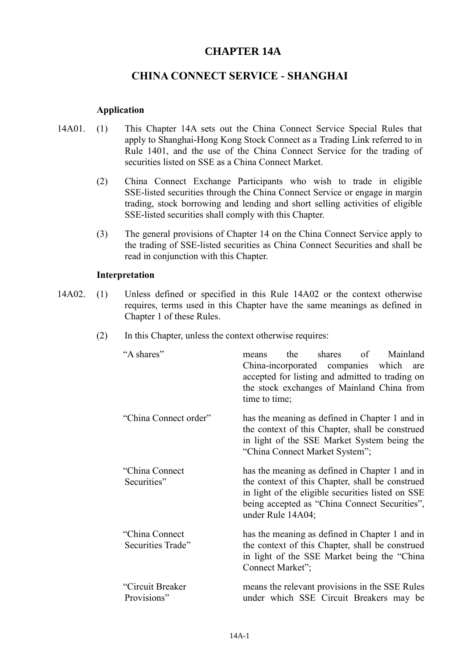# **CHAPTER 14A**

# **CHINA CONNECT SERVICE - SHANGHAI**

### **Application**

- 14A01. (1) This Chapter 14A sets out the China Connect Service Special Rules that apply to Shanghai-Hong Kong Stock Connect as a Trading Link referred to in Rule 1401, and the use of the China Connect Service for the trading of securities listed on SSE as a China Connect Market.
	- (2) China Connect Exchange Participants who wish to trade in eligible SSE-listed securities through the China Connect Service or engage in margin trading, stock borrowing and lending and short selling activities of eligible SSE-listed securities shall comply with this Chapter.
	- (3) The general provisions of Chapter 14 on the China Connect Service apply to the trading of SSE-listed securities as China Connect Securities and shall be read in conjunction with this Chapter.

#### **Interpretation**

- 14A02. (1) Unless defined or specified in this Rule 14A02 or the context otherwise requires, terms used in this Chapter have the same meanings as defined in Chapter 1 of these Rules.
	- (2) In this Chapter, unless the context otherwise requires:

| "A shares"                           | the shares of Mainland<br>means<br>China-incorporated companies which are<br>accepted for listing and admitted to trading on<br>the stock exchanges of Mainland China from<br>time to time;                                  |
|--------------------------------------|------------------------------------------------------------------------------------------------------------------------------------------------------------------------------------------------------------------------------|
| "China Connect order"                | has the meaning as defined in Chapter 1 and in<br>the context of this Chapter, shall be construed<br>in light of the SSE Market System being the<br>"China Connect Market System";                                           |
| "China Connect"<br>Securities"       | has the meaning as defined in Chapter 1 and in<br>the context of this Chapter, shall be construed<br>in light of the eligible securities listed on SSE<br>being accepted as "China Connect Securities",<br>under Rule 14A04; |
| "China Connect"<br>Securities Trade" | has the meaning as defined in Chapter 1 and in<br>the context of this Chapter, shall be construed<br>in light of the SSE Market being the "China"<br>Connect Market";                                                        |
| "Circuit Breaker<br>Provisions"      | means the relevant provisions in the SSE Rules<br>under which SSE Circuit Breakers may be                                                                                                                                    |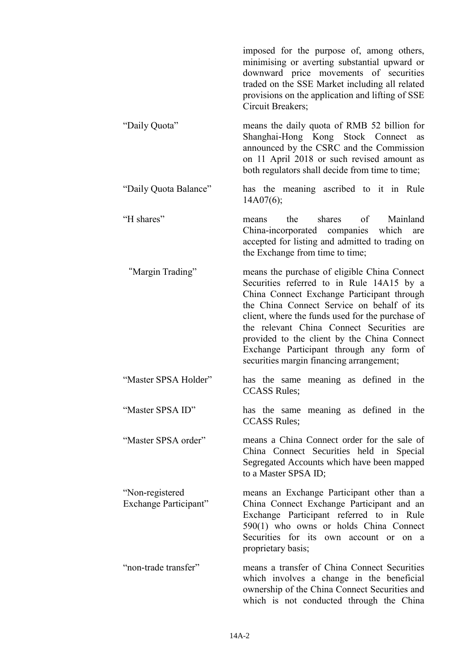|                                          | imposed for the purpose of, among others,<br>minimising or averting substantial upward or<br>downward price movements of securities<br>traded on the SSE Market including all related<br>provisions on the application and lifting of SSE<br>Circuit Breakers;                                                                                                                                                                |
|------------------------------------------|-------------------------------------------------------------------------------------------------------------------------------------------------------------------------------------------------------------------------------------------------------------------------------------------------------------------------------------------------------------------------------------------------------------------------------|
| "Daily Quota"                            | means the daily quota of RMB 52 billion for<br>Shanghai-Hong Kong Stock Connect as<br>announced by the CSRC and the Commission<br>on 11 April 2018 or such revised amount as<br>both regulators shall decide from time to time;                                                                                                                                                                                               |
| "Daily Quota Balance"                    | has the meaning ascribed to it in Rule<br>14A07(6);                                                                                                                                                                                                                                                                                                                                                                           |
| "H shares"                               | the shares of<br>Mainland<br>means<br>China-incorporated companies which<br>are<br>accepted for listing and admitted to trading on<br>the Exchange from time to time;                                                                                                                                                                                                                                                         |
| "Margin Trading"                         | means the purchase of eligible China Connect<br>Securities referred to in Rule 14A15 by a<br>China Connect Exchange Participant through<br>the China Connect Service on behalf of its<br>client, where the funds used for the purchase of<br>the relevant China Connect Securities are<br>provided to the client by the China Connect<br>Exchange Participant through any form of<br>securities margin financing arrangement; |
| "Master SPSA Holder"                     | has the same meaning as defined in the<br><b>CCASS Rules;</b>                                                                                                                                                                                                                                                                                                                                                                 |
| "Master SPSA ID"                         | has the same meaning as defined in the<br><b>CCASS Rules;</b>                                                                                                                                                                                                                                                                                                                                                                 |
| "Master SPSA order"                      | means a China Connect order for the sale of<br>China Connect Securities held in Special<br>Segregated Accounts which have been mapped<br>to a Master SPSA ID;                                                                                                                                                                                                                                                                 |
| "Non-registered<br>Exchange Participant" | means an Exchange Participant other than a<br>China Connect Exchange Participant and an<br>Exchange Participant referred to in Rule<br>590(1) who owns or holds China Connect<br>Securities for its own account or on a<br>proprietary basis;                                                                                                                                                                                 |
| "non-trade transfer"                     | means a transfer of China Connect Securities<br>which involves a change in the beneficial<br>ownership of the China Connect Securities and<br>which is not conducted through the China                                                                                                                                                                                                                                        |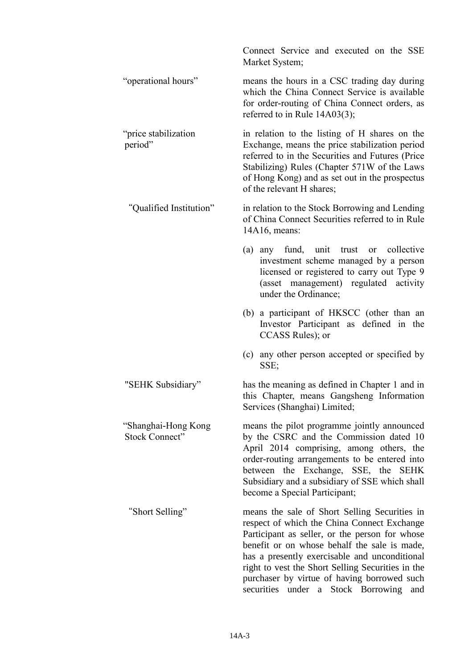|                                              | Connect Service and executed on the SSE<br>Market System;                                                                                                                                                                                                                                                                                                                                                 |
|----------------------------------------------|-----------------------------------------------------------------------------------------------------------------------------------------------------------------------------------------------------------------------------------------------------------------------------------------------------------------------------------------------------------------------------------------------------------|
| "operational hours"                          | means the hours in a CSC trading day during<br>which the China Connect Service is available<br>for order-routing of China Connect orders, as<br>referred to in Rule 14A03(3);                                                                                                                                                                                                                             |
| "price stabilization<br>period"              | in relation to the listing of H shares on the<br>Exchange, means the price stabilization period<br>referred to in the Securities and Futures (Price<br>Stabilizing) Rules (Chapter 571W of the Laws<br>of Hong Kong) and as set out in the prospectus<br>of the relevant H shares;                                                                                                                        |
| "Qualified Institution"                      | in relation to the Stock Borrowing and Lending<br>of China Connect Securities referred to in Rule<br>14A16, means:                                                                                                                                                                                                                                                                                        |
|                                              | (a) any fund, unit<br>trust<br>collective<br><sub>or</sub><br>investment scheme managed by a person<br>licensed or registered to carry out Type 9<br>(asset management) regulated activity<br>under the Ordinance;                                                                                                                                                                                        |
|                                              | (b) a participant of HKSCC (other than an<br>Investor Participant as defined in the<br>CCASS Rules); or                                                                                                                                                                                                                                                                                                   |
|                                              | (c) any other person accepted or specified by<br>SSE;                                                                                                                                                                                                                                                                                                                                                     |
| "SEHK Subsidiary"                            | has the meaning as defined in Chapter 1 and in<br>this Chapter, means Gangsheng Information<br>Services (Shanghai) Limited;                                                                                                                                                                                                                                                                               |
| "Shanghai-Hong Kong<br><b>Stock Connect"</b> | means the pilot programme jointly announced<br>by the CSRC and the Commission dated 10<br>April 2014 comprising, among others, the<br>order-routing arrangements to be entered into<br>between the Exchange, SSE, the SEHK<br>Subsidiary and a subsidiary of SSE which shall<br>become a Special Participant;                                                                                             |
| "Short Selling"                              | means the sale of Short Selling Securities in<br>respect of which the China Connect Exchange<br>Participant as seller, or the person for whose<br>benefit or on whose behalf the sale is made,<br>has a presently exercisable and unconditional<br>right to vest the Short Selling Securities in the<br>purchaser by virtue of having borrowed such<br>Stock Borrowing<br>securities<br>under<br>a<br>and |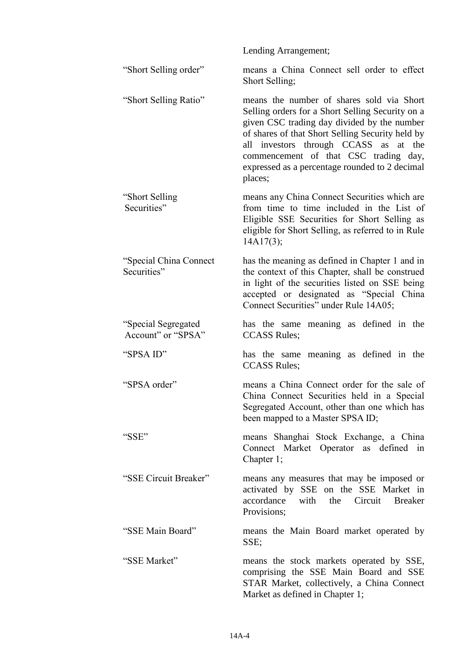Lending Arrangement; "Short Selling order" means a China Connect sell order to effect Short Selling; "Short Selling Ratio" means the number of shares sold via Short Selling orders for a Short Selling Security on a given CSC trading day divided by the number of shares of that Short Selling Security held by all investors through CCASS as at the commencement of that CSC trading day, expressed as a percentage rounded to 2 decimal places; "Short Selling Securities" means any China Connect Securities which are from time to time included in the List of Eligible SSE Securities for Short Selling as eligible for Short Selling, as referred to in Rule 14A17(3); "Special China Connect Securities" has the meaning as defined in Chapter 1 and in the context of this Chapter, shall be construed in light of the securities listed on SSE being accepted or designated as "Special China Connect Securities" under Rule 14A05; "Special Segregated Account" or "SPSA" has the same meaning as defined in the CCASS Rules; "SPSA ID" has the same meaning as defined in the CCASS Rules; "SPSA order" means a China Connect order for the sale of China Connect Securities held in a Special Segregated Account, other than one which has been mapped to a Master SPSA ID; "SSE" means Shanghai Stock Exchange, a China Connect Market Operator as defined in Chapter 1; "SSE Circuit Breaker" means any measures that may be imposed or activated by SSE on the SSE Market in accordance with the Circuit Breaker Provisions; "SSE Main Board" means the Main Board market operated by SSE; "SSE Market" means the stock markets operated by SSE, comprising the SSE Main Board and SSE STAR Market, collectively, a China Connect Market as defined in Chapter 1;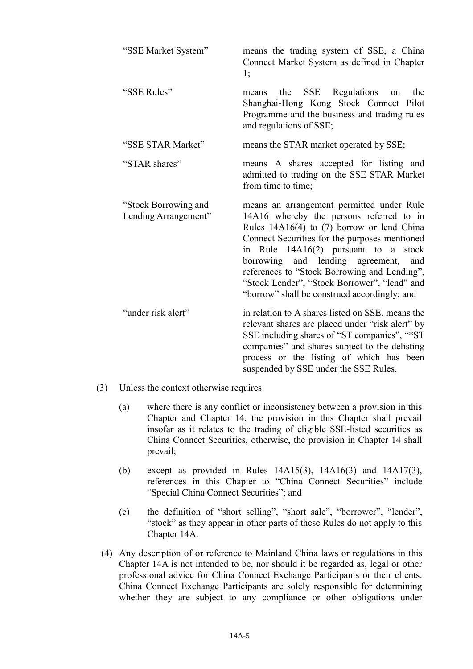| "SSE Market System"                          | means the trading system of SSE, a China<br>Connect Market System as defined in Chapter<br>1;                                                                                                                                                                                                                                                                                                                                 |
|----------------------------------------------|-------------------------------------------------------------------------------------------------------------------------------------------------------------------------------------------------------------------------------------------------------------------------------------------------------------------------------------------------------------------------------------------------------------------------------|
| "SSE Rules"                                  | SSE Regulations<br>the<br>the<br>means<br>on<br>Shanghai-Hong Kong Stock Connect Pilot<br>Programme and the business and trading rules<br>and regulations of SSE;                                                                                                                                                                                                                                                             |
| "SSE STAR Market"                            | means the STAR market operated by SSE;                                                                                                                                                                                                                                                                                                                                                                                        |
| "STAR shares"                                | means A shares accepted for listing and<br>admitted to trading on the SSE STAR Market<br>from time to time;                                                                                                                                                                                                                                                                                                                   |
| "Stock Borrowing and<br>Lending Arrangement" | means an arrangement permitted under Rule<br>14A16 whereby the persons referred to in<br>Rules 14A16(4) to (7) borrow or lend China<br>Connect Securities for the purposes mentioned<br>in Rule 14A16(2) pursuant to<br>stock<br>a<br>borrowing and lending agreement,<br>and<br>references to "Stock Borrowing and Lending",<br>"Stock Lender", "Stock Borrower", "lend" and<br>"borrow" shall be construed accordingly; and |
| "under risk alert"                           | in relation to A shares listed on SSE, means the<br>relevant shares are placed under "risk alert" by<br>SSE including shares of "ST companies", "*ST<br>companies" and shares subject to the delisting<br>process or the listing of which has been<br>suspended by SSE under the SSE Rules.                                                                                                                                   |

- (3) Unless the context otherwise requires:
	- (a) where there is any conflict or inconsistency between a provision in this Chapter and Chapter 14, the provision in this Chapter shall prevail insofar as it relates to the trading of eligible SSE-listed securities as China Connect Securities, otherwise, the provision in Chapter 14 shall prevail;
	- (b) except as provided in Rules 14A15(3), 14A16(3) and 14A17(3), references in this Chapter to "China Connect Securities" include "Special China Connect Securities"; and
	- (c) the definition of "short selling", "short sale", "borrower", "lender", "stock" as they appear in other parts of these Rules do not apply to this Chapter 14A.
- (4) Any description of or reference to Mainland China laws or regulations in this Chapter 14A is not intended to be, nor should it be regarded as, legal or other professional advice for China Connect Exchange Participants or their clients. China Connect Exchange Participants are solely responsible for determining whether they are subject to any compliance or other obligations under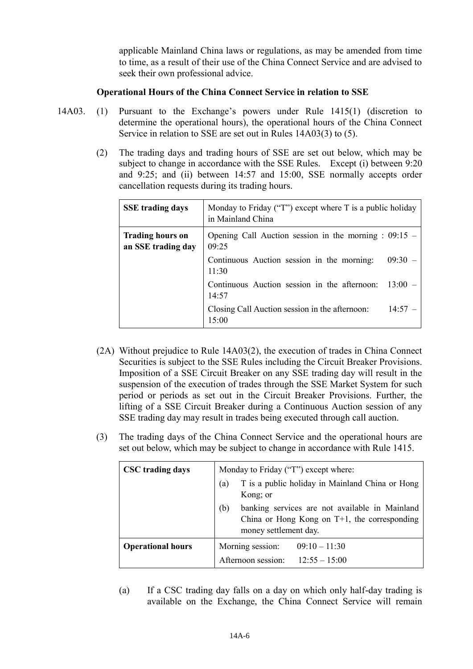applicable Mainland China laws or regulations, as may be amended from time to time, as a result of their use of the China Connect Service and are advised to seek their own professional advice.

# **Operational Hours of the China Connect Service in relation to SSE**

- 14A03. (1) Pursuant to the Exchange's powers under Rule 1415(1) (discretion to determine the operational hours), the operational hours of the China Connect Service in relation to SSE are set out in Rules 14A03(3) to (5).
	- (2) The trading days and trading hours of SSE are set out below, which may be subject to change in accordance with the SSE Rules. Except (i) between 9:20 and 9:25; and (ii) between 14:57 and 15:00, SSE normally accepts order cancellation requests during its trading hours.

| <b>SSE</b> trading days                       | Monday to Friday ("T") except where $T$ is a public holiday<br>in Mainland China |  |
|-----------------------------------------------|----------------------------------------------------------------------------------|--|
| <b>Trading hours on</b><br>an SSE trading day | Opening Call Auction session in the morning : $09:15$ –<br>09:25                 |  |
|                                               | Continuous Auction session in the morning:<br>$09:30 -$<br>11:30                 |  |
|                                               | Continuous Auction session in the afternoon:<br>$13:00 -$<br>14:57               |  |
|                                               | Closing Call Auction session in the afternoon:<br>14:57<br>15:00                 |  |

- (2A) Without prejudice to Rule 14A03(2), the execution of trades in China Connect Securities is subject to the SSE Rules including the Circuit Breaker Provisions. Imposition of a SSE Circuit Breaker on any SSE trading day will result in the suspension of the execution of trades through the SSE Market System for such period or periods as set out in the Circuit Breaker Provisions. Further, the lifting of a SSE Circuit Breaker during a Continuous Auction session of any SSE trading day may result in trades being executed through call auction.
- (3) The trading days of the China Connect Service and the operational hours are set out below, which may be subject to change in accordance with Rule 1415.

| <b>CSC</b> trading days  | Monday to Friday ("T") except where:                                                                                              |  |
|--------------------------|-----------------------------------------------------------------------------------------------------------------------------------|--|
|                          | T is a public holiday in Mainland China or Hong<br>(a)<br>Kong; or                                                                |  |
|                          | banking services are not available in Mainland<br>(b)<br>China or Hong Kong on $T+1$ , the corresponding<br>money settlement day. |  |
| <b>Operational hours</b> | Morning session:<br>$09:10 - 11:30$                                                                                               |  |
|                          | Afternoon session:<br>$12:55 - 15:00$                                                                                             |  |

(a) If a CSC trading day falls on a day on which only half-day trading is available on the Exchange, the China Connect Service will remain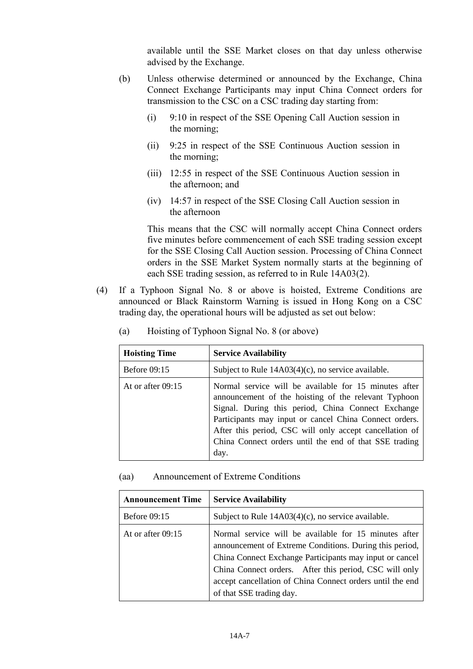available until the SSE Market closes on that day unless otherwise advised by the Exchange.

- (b) Unless otherwise determined or announced by the Exchange, China Connect Exchange Participants may input China Connect orders for transmission to the CSC on a CSC trading day starting from:
	- (i) 9:10 in respect of the SSE Opening Call Auction session in the morning;
	- (ii) 9:25 in respect of the SSE Continuous Auction session in the morning;
	- (iii) 12:55 in respect of the SSE Continuous Auction session in the afternoon; and
	- (iv) 14:57 in respect of the SSE Closing Call Auction session in the afternoon

This means that the CSC will normally accept China Connect orders five minutes before commencement of each SSE trading session except for the SSE Closing Call Auction session. Processing of China Connect orders in the SSE Market System normally starts at the beginning of each SSE trading session, as referred to in Rule 14A03(2).

(4) If a Typhoon Signal No. 8 or above is hoisted, Extreme Conditions are announced or Black Rainstorm Warning is issued in Hong Kong on a CSC trading day, the operational hours will be adjusted as set out below:

| <b>Hoisting Time</b> | <b>Service Availability</b>                                                                                                                                                                                                                                                                                                                                |
|----------------------|------------------------------------------------------------------------------------------------------------------------------------------------------------------------------------------------------------------------------------------------------------------------------------------------------------------------------------------------------------|
| <b>Before 09:15</b>  | Subject to Rule $14A03(4)(c)$ , no service available.                                                                                                                                                                                                                                                                                                      |
| At or after $09:15$  | Normal service will be available for 15 minutes after<br>announcement of the hoisting of the relevant Typhoon<br>Signal. During this period, China Connect Exchange<br>Participants may input or cancel China Connect orders.<br>After this period, CSC will only accept cancellation of<br>China Connect orders until the end of that SSE trading<br>day. |

(a) Hoisting of Typhoon Signal No. 8 (or above)

#### (aa) Announcement of Extreme Conditions

| <b>Announcement Time</b> | <b>Service Availability</b>                                                                                                                                                                                                                                                                                                    |
|--------------------------|--------------------------------------------------------------------------------------------------------------------------------------------------------------------------------------------------------------------------------------------------------------------------------------------------------------------------------|
| Before 09:15             | Subject to Rule $14A03(4)(c)$ , no service available.                                                                                                                                                                                                                                                                          |
| At or after $09:15$      | Normal service will be available for 15 minutes after<br>announcement of Extreme Conditions. During this period,<br>China Connect Exchange Participants may input or cancel<br>China Connect orders. After this period, CSC will only<br>accept cancellation of China Connect orders until the end<br>of that SSE trading day. |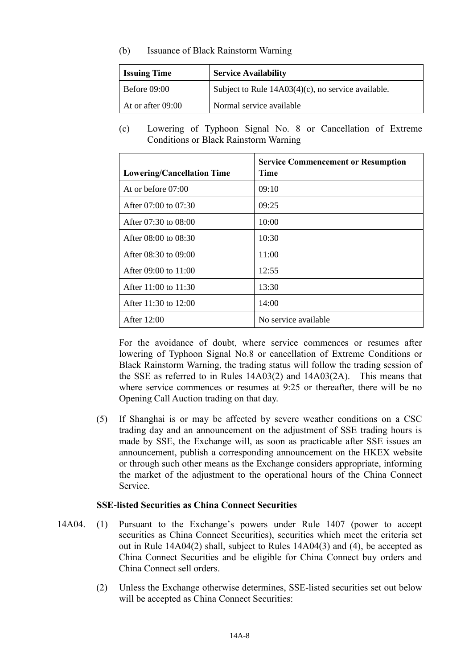(b) Issuance of Black Rainstorm Warning

| <b>Issuing Time</b>       | <b>Service Availability</b>                           |
|---------------------------|-------------------------------------------------------|
| Before $09:00$            | Subject to Rule $14A03(4)(c)$ , no service available. |
| $\vert$ At or after 09:00 | Normal service available                              |

(c) Lowering of Typhoon Signal No. 8 or Cancellation of Extreme Conditions or Black Rainstorm Warning

| <b>Lowering/Cancellation Time</b> | <b>Service Commencement or Resumption</b><br>Time |
|-----------------------------------|---------------------------------------------------|
| At or before $07:00$              | 09:10                                             |
| After $07:00$ to $07:30$          | 09:25                                             |
| After $07:30$ to $08:00$          | 10:00                                             |
| After 08:00 to 08:30              | 10:30                                             |
| After $08:30$ to $09:00$          | 11:00                                             |
| After $09:00$ to $11:00$          | 12:55                                             |
| After $11:00$ to $11:30$          | 13:30                                             |
| After 11:30 to 12:00              | 14:00                                             |
| After $12:00$                     | No service available                              |

For the avoidance of doubt, where service commences or resumes after lowering of Typhoon Signal No.8 or cancellation of Extreme Conditions or Black Rainstorm Warning, the trading status will follow the trading session of the SSE as referred to in Rules 14A03(2) and 14A03(2A). This means that where service commences or resumes at 9:25 or thereafter, there will be no Opening Call Auction trading on that day.

(5) If Shanghai is or may be affected by severe weather conditions on a CSC trading day and an announcement on the adjustment of SSE trading hours is made by SSE, the Exchange will, as soon as practicable after SSE issues an announcement, publish a corresponding announcement on the HKEX website or through such other means as the Exchange considers appropriate, informing the market of the adjustment to the operational hours of the China Connect Service.

# **SSE-listed Securities as China Connect Securities**

- 14A04. (1) Pursuant to the Exchange's powers under Rule 1407 (power to accept securities as China Connect Securities), securities which meet the criteria set out in Rule 14A04(2) shall, subject to Rules 14A04(3) and (4), be accepted as China Connect Securities and be eligible for China Connect buy orders and China Connect sell orders.
	- (2) Unless the Exchange otherwise determines, SSE-listed securities set out below will be accepted as China Connect Securities: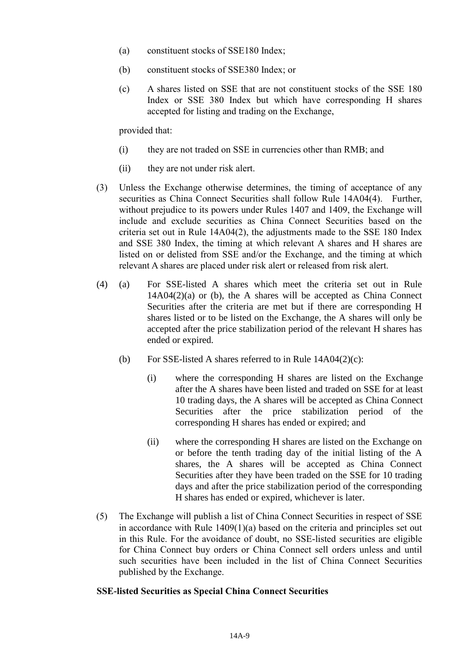- (a) constituent stocks of SSE180 Index;
- (b) constituent stocks of SSE380 Index; or
- (c) A shares listed on SSE that are not constituent stocks of the SSE 180 Index or SSE 380 Index but which have corresponding H shares accepted for listing and trading on the Exchange,

provided that:

- (i) they are not traded on SSE in currencies other than RMB; and
- (ii) they are not under risk alert.
- (3) Unless the Exchange otherwise determines, the timing of acceptance of any securities as China Connect Securities shall follow Rule 14A04(4). Further, without prejudice to its powers under Rules 1407 and 1409, the Exchange will include and exclude securities as China Connect Securities based on the criteria set out in Rule  $14A04(2)$ , the adjustments made to the SSE 180 Index and SSE 380 Index, the timing at which relevant A shares and H shares are listed on or delisted from SSE and/or the Exchange, and the timing at which relevant A shares are placed under risk alert or released from risk alert.
- (4) (a) For SSE-listed A shares which meet the criteria set out in Rule  $14A04(2)(a)$  or (b), the A shares will be accepted as China Connect Securities after the criteria are met but if there are corresponding H shares listed or to be listed on the Exchange, the A shares will only be accepted after the price stabilization period of the relevant H shares has ended or expired.
	- (b) For SSE-listed A shares referred to in Rule  $14A04(2)(c)$ :
		- (i) where the corresponding H shares are listed on the Exchange after the A shares have been listed and traded on SSE for at least 10 trading days, the A shares will be accepted as China Connect Securities after the price stabilization period of the corresponding H shares has ended or expired; and
		- (ii) where the corresponding H shares are listed on the Exchange on or before the tenth trading day of the initial listing of the A shares, the A shares will be accepted as China Connect Securities after they have been traded on the SSE for 10 trading days and after the price stabilization period of the corresponding H shares has ended or expired, whichever is later.
- (5) The Exchange will publish a list of China Connect Securities in respect of SSE in accordance with Rule 1409(1)(a) based on the criteria and principles set out in this Rule. For the avoidance of doubt, no SSE-listed securities are eligible for China Connect buy orders or China Connect sell orders unless and until such securities have been included in the list of China Connect Securities published by the Exchange.

#### **SSE-listed Securities as Special China Connect Securities**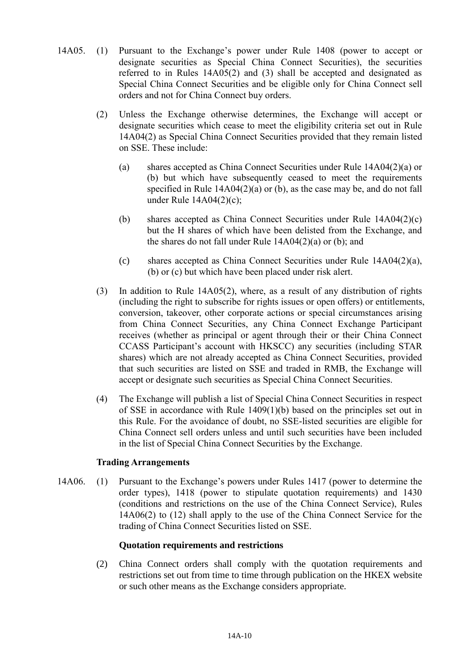- 14A05. (1) Pursuant to the Exchange's power under Rule 1408 (power to accept or designate securities as Special China Connect Securities), the securities referred to in Rules 14A05(2) and (3) shall be accepted and designated as Special China Connect Securities and be eligible only for China Connect sell orders and not for China Connect buy orders.
	- (2) Unless the Exchange otherwise determines, the Exchange will accept or designate securities which cease to meet the eligibility criteria set out in Rule 14A04(2) as Special China Connect Securities provided that they remain listed on SSE. These include:
		- (a) shares accepted as China Connect Securities under Rule 14A04(2)(a) or (b) but which have subsequently ceased to meet the requirements specified in Rule 14A04(2)(a) or (b), as the case may be, and do not fall under Rule 14A04(2)(c);
		- (b) shares accepted as China Connect Securities under Rule 14A04(2)(c) but the H shares of which have been delisted from the Exchange, and the shares do not fall under Rule 14A04(2)(a) or (b); and
		- (c) shares accepted as China Connect Securities under Rule 14A04(2)(a), (b) or (c) but which have been placed under risk alert.
	- (3) In addition to Rule 14A05(2), where, as a result of any distribution of rights (including the right to subscribe for rights issues or open offers) or entitlements, conversion, takeover, other corporate actions or special circumstances arising from China Connect Securities, any China Connect Exchange Participant receives (whether as principal or agent through their or their China Connect CCASS Participant's account with HKSCC) any securities (including STAR shares) which are not already accepted as China Connect Securities, provided that such securities are listed on SSE and traded in RMB, the Exchange will accept or designate such securities as Special China Connect Securities.
	- (4) The Exchange will publish a list of Special China Connect Securities in respect of SSE in accordance with Rule 1409(1)(b) based on the principles set out in this Rule. For the avoidance of doubt, no SSE-listed securities are eligible for China Connect sell orders unless and until such securities have been included in the list of Special China Connect Securities by the Exchange.

#### **Trading Arrangements**

14A06. (1) Pursuant to the Exchange's powers under Rules 1417 (power to determine the order types), 1418 (power to stipulate quotation requirements) and 1430 (conditions and restrictions on the use of the China Connect Service), Rules 14A06(2) to (12) shall apply to the use of the China Connect Service for the trading of China Connect Securities listed on SSE.

#### **Quotation requirements and restrictions**

(2) China Connect orders shall comply with the quotation requirements and restrictions set out from time to time through publication on the HKEX website or such other means as the Exchange considers appropriate.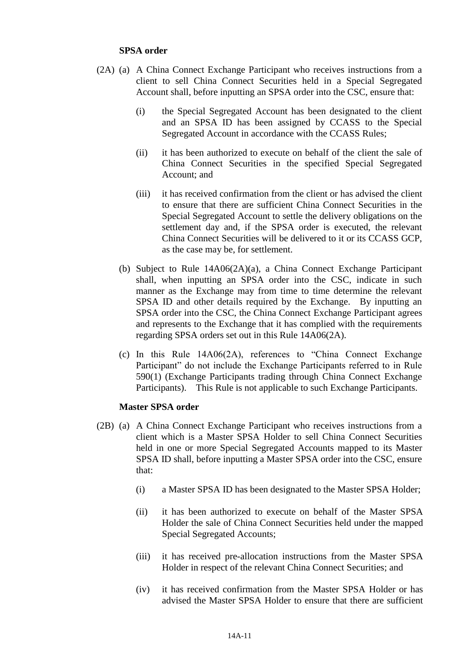#### **SPSA order**

- (2A) (a) A China Connect Exchange Participant who receives instructions from a client to sell China Connect Securities held in a Special Segregated Account shall, before inputting an SPSA order into the CSC, ensure that:
	- (i) the Special Segregated Account has been designated to the client and an SPSA ID has been assigned by CCASS to the Special Segregated Account in accordance with the CCASS Rules;
	- (ii) it has been authorized to execute on behalf of the client the sale of China Connect Securities in the specified Special Segregated Account; and
	- (iii) it has received confirmation from the client or has advised the client to ensure that there are sufficient China Connect Securities in the Special Segregated Account to settle the delivery obligations on the settlement day and, if the SPSA order is executed, the relevant China Connect Securities will be delivered to it or its CCASS GCP, as the case may be, for settlement.
	- (b) Subject to Rule 14A06(2A)(a), a China Connect Exchange Participant shall, when inputting an SPSA order into the CSC, indicate in such manner as the Exchange may from time to time determine the relevant SPSA ID and other details required by the Exchange. By inputting an SPSA order into the CSC, the China Connect Exchange Participant agrees and represents to the Exchange that it has complied with the requirements regarding SPSA orders set out in this Rule 14A06(2A).
	- (c) In this Rule 14A06(2A), references to "China Connect Exchange Participant" do not include the Exchange Participants referred to in Rule 590(1) (Exchange Participants trading through China Connect Exchange Participants). This Rule is not applicable to such Exchange Participants.

#### **Master SPSA order**

- (2B) (a) A China Connect Exchange Participant who receives instructions from a client which is a Master SPSA Holder to sell China Connect Securities held in one or more Special Segregated Accounts mapped to its Master SPSA ID shall, before inputting a Master SPSA order into the CSC, ensure that:
	- (i) a Master SPSA ID has been designated to the Master SPSA Holder;
	- (ii) it has been authorized to execute on behalf of the Master SPSA Holder the sale of China Connect Securities held under the mapped Special Segregated Accounts;
	- (iii) it has received pre-allocation instructions from the Master SPSA Holder in respect of the relevant China Connect Securities; and
	- (iv) it has received confirmation from the Master SPSA Holder or has advised the Master SPSA Holder to ensure that there are sufficient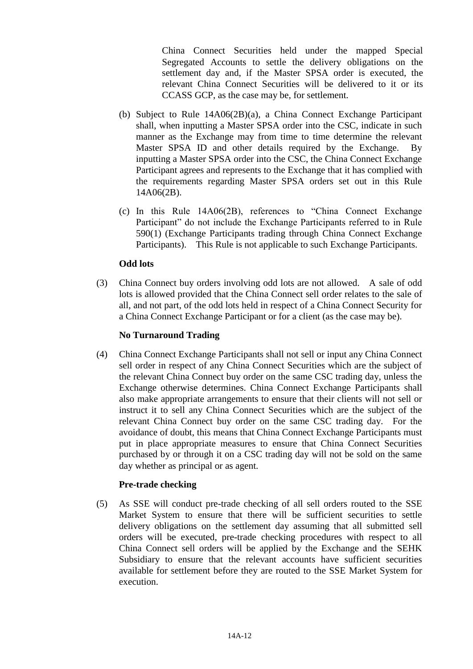China Connect Securities held under the mapped Special Segregated Accounts to settle the delivery obligations on the settlement day and, if the Master SPSA order is executed, the relevant China Connect Securities will be delivered to it or its CCASS GCP, as the case may be, for settlement.

- (b) Subject to Rule 14A06(2B)(a), a China Connect Exchange Participant shall, when inputting a Master SPSA order into the CSC, indicate in such manner as the Exchange may from time to time determine the relevant Master SPSA ID and other details required by the Exchange. By inputting a Master SPSA order into the CSC, the China Connect Exchange Participant agrees and represents to the Exchange that it has complied with the requirements regarding Master SPSA orders set out in this Rule 14A06(2B).
- (c) In this Rule 14A06(2B), references to "China Connect Exchange Participant" do not include the Exchange Participants referred to in Rule 590(1) (Exchange Participants trading through China Connect Exchange Participants). This Rule is not applicable to such Exchange Participants.

# **Odd lots**

(3) China Connect buy orders involving odd lots are not allowed. A sale of odd lots is allowed provided that the China Connect sell order relates to the sale of all, and not part, of the odd lots held in respect of a China Connect Security for a China Connect Exchange Participant or for a client (as the case may be).

# **No Turnaround Trading**

(4) China Connect Exchange Participants shall not sell or input any China Connect sell order in respect of any China Connect Securities which are the subject of the relevant China Connect buy order on the same CSC trading day, unless the Exchange otherwise determines. China Connect Exchange Participants shall also make appropriate arrangements to ensure that their clients will not sell or instruct it to sell any China Connect Securities which are the subject of the relevant China Connect buy order on the same CSC trading day. For the avoidance of doubt, this means that China Connect Exchange Participants must put in place appropriate measures to ensure that China Connect Securities purchased by or through it on a CSC trading day will not be sold on the same day whether as principal or as agent.

# **Pre-trade checking**

(5) As SSE will conduct pre-trade checking of all sell orders routed to the SSE Market System to ensure that there will be sufficient securities to settle delivery obligations on the settlement day assuming that all submitted sell orders will be executed, pre-trade checking procedures with respect to all China Connect sell orders will be applied by the Exchange and the SEHK Subsidiary to ensure that the relevant accounts have sufficient securities available for settlement before they are routed to the SSE Market System for execution.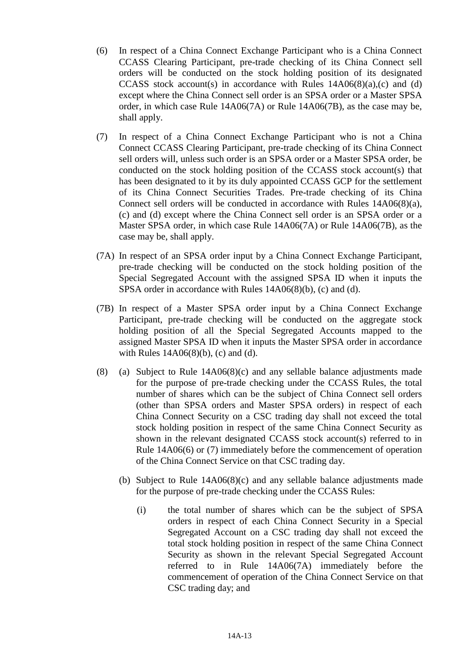- (6) In respect of a China Connect Exchange Participant who is a China Connect CCASS Clearing Participant, pre-trade checking of its China Connect sell orders will be conducted on the stock holding position of its designated CCASS stock account(s) in accordance with Rules  $14A06(8)(a)$ ,(c) and (d) except where the China Connect sell order is an SPSA order or a Master SPSA order, in which case Rule 14A06(7A) or Rule 14A06(7B), as the case may be, shall apply.
- (7) In respect of a China Connect Exchange Participant who is not a China Connect CCASS Clearing Participant, pre-trade checking of its China Connect sell orders will, unless such order is an SPSA order or a Master SPSA order, be conducted on the stock holding position of the CCASS stock account(s) that has been designated to it by its duly appointed CCASS GCP for the settlement of its China Connect Securities Trades. Pre-trade checking of its China Connect sell orders will be conducted in accordance with Rules 14A06(8)(a), (c) and (d) except where the China Connect sell order is an SPSA order or a Master SPSA order, in which case Rule 14A06(7A) or Rule 14A06(7B), as the case may be, shall apply.
- (7A) In respect of an SPSA order input by a China Connect Exchange Participant, pre-trade checking will be conducted on the stock holding position of the Special Segregated Account with the assigned SPSA ID when it inputs the SPSA order in accordance with Rules 14A06(8)(b), (c) and (d).
- (7B) In respect of a Master SPSA order input by a China Connect Exchange Participant, pre-trade checking will be conducted on the aggregate stock holding position of all the Special Segregated Accounts mapped to the assigned Master SPSA ID when it inputs the Master SPSA order in accordance with Rules 14A06(8)(b), (c) and (d).
- (8) (a) Subject to Rule 14A06(8)(c) and any sellable balance adjustments made for the purpose of pre-trade checking under the CCASS Rules, the total number of shares which can be the subject of China Connect sell orders (other than SPSA orders and Master SPSA orders) in respect of each China Connect Security on a CSC trading day shall not exceed the total stock holding position in respect of the same China Connect Security as shown in the relevant designated CCASS stock account(s) referred to in Rule 14A06(6) or (7) immediately before the commencement of operation of the China Connect Service on that CSC trading day.
	- (b) Subject to Rule 14A06(8)(c) and any sellable balance adjustments made for the purpose of pre-trade checking under the CCASS Rules:
		- (i) the total number of shares which can be the subject of SPSA orders in respect of each China Connect Security in a Special Segregated Account on a CSC trading day shall not exceed the total stock holding position in respect of the same China Connect Security as shown in the relevant Special Segregated Account referred to in Rule 14A06(7A) immediately before the commencement of operation of the China Connect Service on that CSC trading day; and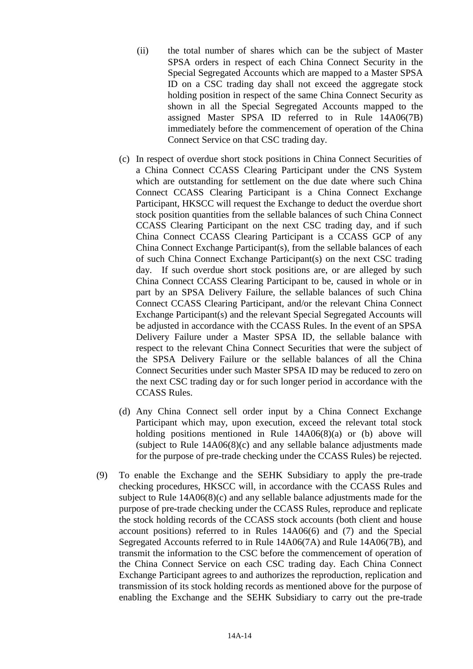- (ii) the total number of shares which can be the subject of Master SPSA orders in respect of each China Connect Security in the Special Segregated Accounts which are mapped to a Master SPSA ID on a CSC trading day shall not exceed the aggregate stock holding position in respect of the same China Connect Security as shown in all the Special Segregated Accounts mapped to the assigned Master SPSA ID referred to in Rule 14A06(7B) immediately before the commencement of operation of the China Connect Service on that CSC trading day.
- (c) In respect of overdue short stock positions in China Connect Securities of a China Connect CCASS Clearing Participant under the CNS System which are outstanding for settlement on the due date where such China Connect CCASS Clearing Participant is a China Connect Exchange Participant, HKSCC will request the Exchange to deduct the overdue short stock position quantities from the sellable balances of such China Connect CCASS Clearing Participant on the next CSC trading day, and if such China Connect CCASS Clearing Participant is a CCASS GCP of any China Connect Exchange Participant(s), from the sellable balances of each of such China Connect Exchange Participant(s) on the next CSC trading day. If such overdue short stock positions are, or are alleged by such China Connect CCASS Clearing Participant to be, caused in whole or in part by an SPSA Delivery Failure, the sellable balances of such China Connect CCASS Clearing Participant, and/or the relevant China Connect Exchange Participant(s) and the relevant Special Segregated Accounts will be adjusted in accordance with the CCASS Rules. In the event of an SPSA Delivery Failure under a Master SPSA ID, the sellable balance with respect to the relevant China Connect Securities that were the subject of the SPSA Delivery Failure or the sellable balances of all the China Connect Securities under such Master SPSA ID may be reduced to zero on the next CSC trading day or for such longer period in accordance with the CCASS Rules.
- (d) Any China Connect sell order input by a China Connect Exchange Participant which may, upon execution, exceed the relevant total stock holding positions mentioned in Rule 14A06(8)(a) or (b) above will (subject to Rule 14A06(8)(c) and any sellable balance adjustments made for the purpose of pre-trade checking under the CCASS Rules) be rejected.
- (9) To enable the Exchange and the SEHK Subsidiary to apply the pre-trade checking procedures, HKSCC will, in accordance with the CCASS Rules and subject to Rule 14A06(8)(c) and any sellable balance adjustments made for the purpose of pre-trade checking under the CCASS Rules, reproduce and replicate the stock holding records of the CCASS stock accounts (both client and house account positions) referred to in Rules 14A06(6) and (7) and the Special Segregated Accounts referred to in Rule 14A06(7A) and Rule 14A06(7B), and transmit the information to the CSC before the commencement of operation of the China Connect Service on each CSC trading day. Each China Connect Exchange Participant agrees to and authorizes the reproduction, replication and transmission of its stock holding records as mentioned above for the purpose of enabling the Exchange and the SEHK Subsidiary to carry out the pre-trade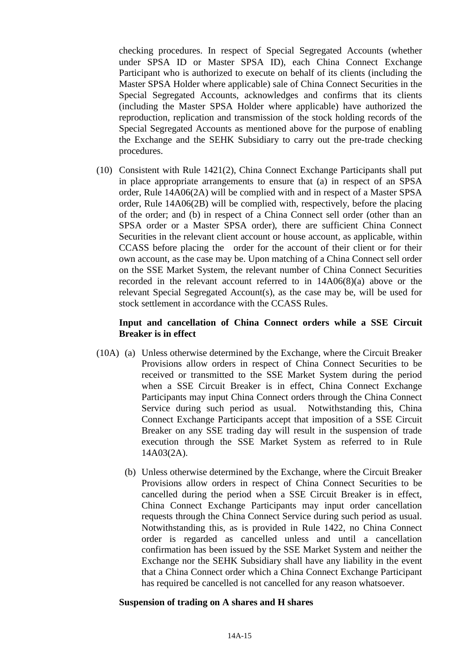checking procedures. In respect of Special Segregated Accounts (whether under SPSA ID or Master SPSA ID), each China Connect Exchange Participant who is authorized to execute on behalf of its clients (including the Master SPSA Holder where applicable) sale of China Connect Securities in the Special Segregated Accounts, acknowledges and confirms that its clients (including the Master SPSA Holder where applicable) have authorized the reproduction, replication and transmission of the stock holding records of the Special Segregated Accounts as mentioned above for the purpose of enabling the Exchange and the SEHK Subsidiary to carry out the pre-trade checking procedures.

(10) Consistent with Rule 1421(2), China Connect Exchange Participants shall put in place appropriate arrangements to ensure that (a) in respect of an SPSA order, Rule 14A06(2A) will be complied with and in respect of a Master SPSA order, Rule 14A06(2B) will be complied with, respectively, before the placing of the order; and (b) in respect of a China Connect sell order (other than an SPSA order or a Master SPSA order), there are sufficient China Connect Securities in the relevant client account or house account, as applicable, within CCASS before placing the order for the account of their client or for their own account, as the case may be. Upon matching of a China Connect sell order on the SSE Market System, the relevant number of China Connect Securities recorded in the relevant account referred to in 14A06(8)(a) above or the relevant Special Segregated Account(s), as the case may be, will be used for stock settlement in accordance with the CCASS Rules.

### **Input and cancellation of China Connect orders while a SSE Circuit Breaker is in effect**

- (10A) (a) Unless otherwise determined by the Exchange, where the Circuit Breaker Provisions allow orders in respect of China Connect Securities to be received or transmitted to the SSE Market System during the period when a SSE Circuit Breaker is in effect, China Connect Exchange Participants may input China Connect orders through the China Connect Service during such period as usual. Notwithstanding this, China Connect Exchange Participants accept that imposition of a SSE Circuit Breaker on any SSE trading day will result in the suspension of trade execution through the SSE Market System as referred to in Rule 14A03(2A).
	- (b) Unless otherwise determined by the Exchange, where the Circuit Breaker Provisions allow orders in respect of China Connect Securities to be cancelled during the period when a SSE Circuit Breaker is in effect, China Connect Exchange Participants may input order cancellation requests through the China Connect Service during such period as usual. Notwithstanding this, as is provided in Rule 1422, no China Connect order is regarded as cancelled unless and until a cancellation confirmation has been issued by the SSE Market System and neither the Exchange nor the SEHK Subsidiary shall have any liability in the event that a China Connect order which a China Connect Exchange Participant has required be cancelled is not cancelled for any reason whatsoever.

#### **Suspension of trading on A shares and H shares**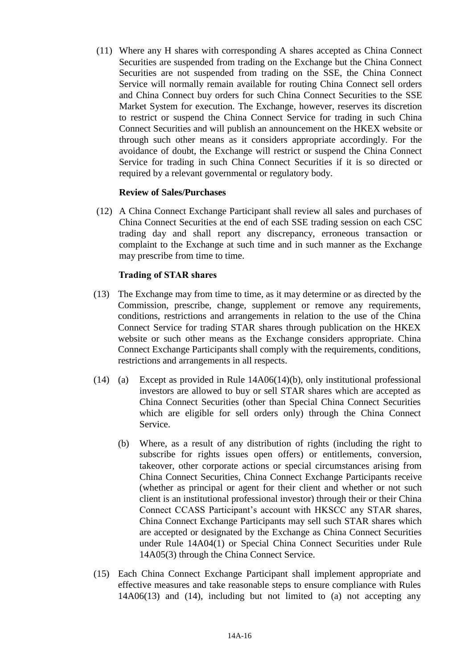(11) Where any H shares with corresponding A shares accepted as China Connect Securities are suspended from trading on the Exchange but the China Connect Securities are not suspended from trading on the SSE, the China Connect Service will normally remain available for routing China Connect sell orders and China Connect buy orders for such China Connect Securities to the SSE Market System for execution. The Exchange, however, reserves its discretion to restrict or suspend the China Connect Service for trading in such China Connect Securities and will publish an announcement on the HKEX website or through such other means as it considers appropriate accordingly. For the avoidance of doubt, the Exchange will restrict or suspend the China Connect Service for trading in such China Connect Securities if it is so directed or required by a relevant governmental or regulatory body.

### **Review of Sales/Purchases**

(12) A China Connect Exchange Participant shall review all sales and purchases of China Connect Securities at the end of each SSE trading session on each CSC trading day and shall report any discrepancy, erroneous transaction or complaint to the Exchange at such time and in such manner as the Exchange may prescribe from time to time.

### **Trading of STAR shares**

- (13) The Exchange may from time to time, as it may determine or as directed by the Commission, prescribe, change, supplement or remove any requirements, conditions, restrictions and arrangements in relation to the use of the China Connect Service for trading STAR shares through publication on the HKEX website or such other means as the Exchange considers appropriate. China Connect Exchange Participants shall comply with the requirements, conditions, restrictions and arrangements in all respects.
- (14) (a) Except as provided in Rule 14A06(14)(b), only institutional professional investors are allowed to buy or sell STAR shares which are accepted as China Connect Securities (other than Special China Connect Securities which are eligible for sell orders only) through the China Connect Service.
	- (b) Where, as a result of any distribution of rights (including the right to subscribe for rights issues open offers) or entitlements, conversion, takeover, other corporate actions or special circumstances arising from China Connect Securities, China Connect Exchange Participants receive (whether as principal or agent for their client and whether or not such client is an institutional professional investor) through their or their China Connect CCASS Participant's account with HKSCC any STAR shares, China Connect Exchange Participants may sell such STAR shares which are accepted or designated by the Exchange as China Connect Securities under Rule 14A04(1) or Special China Connect Securities under Rule 14A05(3) through the China Connect Service.
- (15) Each China Connect Exchange Participant shall implement appropriate and effective measures and take reasonable steps to ensure compliance with Rules 14A06(13) and (14), including but not limited to (a) not accepting any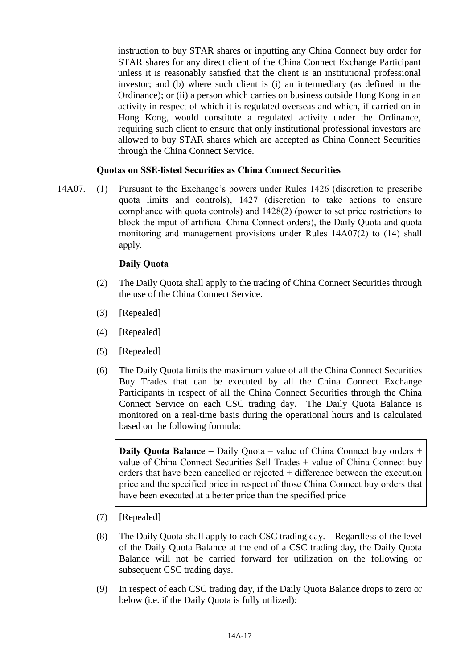instruction to buy STAR shares or inputting any China Connect buy order for STAR shares for any direct client of the China Connect Exchange Participant unless it is reasonably satisfied that the client is an institutional professional investor; and (b) where such client is (i) an intermediary (as defined in the Ordinance); or (ii) a person which carries on business outside Hong Kong in an activity in respect of which it is regulated overseas and which, if carried on in Hong Kong, would constitute a regulated activity under the Ordinance, requiring such client to ensure that only institutional professional investors are allowed to buy STAR shares which are accepted as China Connect Securities through the China Connect Service.

### **Quotas on SSE-listed Securities as China Connect Securities**

14A07. (1) Pursuant to the Exchange's powers under Rules 1426 (discretion to prescribe quota limits and controls), 1427 (discretion to take actions to ensure compliance with quota controls) and 1428(2) (power to set price restrictions to block the input of artificial China Connect orders), the Daily Quota and quota monitoring and management provisions under Rules 14A07(2) to (14) shall apply.

# **Daily Quota**

- (2) The Daily Quota shall apply to the trading of China Connect Securities through the use of the China Connect Service.
- (3) [Repealed]
- (4) [Repealed]
- (5) [Repealed]
- (6) The Daily Quota limits the maximum value of all the China Connect Securities Buy Trades that can be executed by all the China Connect Exchange Participants in respect of all the China Connect Securities through the China Connect Service on each CSC trading day. The Daily Quota Balance is monitored on a real-time basis during the operational hours and is calculated based on the following formula:

**Daily Quota Balance** = Daily Quota – value of China Connect buy orders + value of China Connect Securities Sell Trades + value of China Connect buy orders that have been cancelled or rejected + difference between the execution price and the specified price in respect of those China Connect buy orders that have been executed at a better price than the specified price

- (7) [Repealed]
- (8) The Daily Quota shall apply to each CSC trading day. Regardless of the level of the Daily Quota Balance at the end of a CSC trading day, the Daily Quota Balance will not be carried forward for utilization on the following or subsequent CSC trading days.
- (9) In respect of each CSC trading day, if the Daily Quota Balance drops to zero or below (i.e. if the Daily Quota is fully utilized):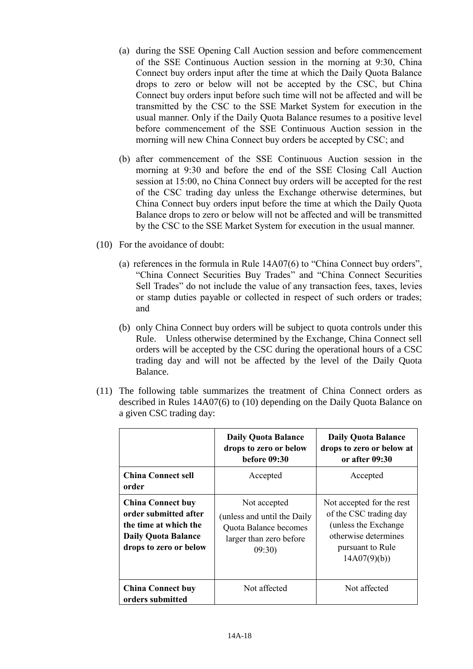- (a) during the SSE Opening Call Auction session and before commencement of the SSE Continuous Auction session in the morning at 9:30, China Connect buy orders input after the time at which the Daily Quota Balance drops to zero or below will not be accepted by the CSC, but China Connect buy orders input before such time will not be affected and will be transmitted by the CSC to the SSE Market System for execution in the usual manner. Only if the Daily Quota Balance resumes to a positive level before commencement of the SSE Continuous Auction session in the morning will new China Connect buy orders be accepted by CSC; and
- (b) after commencement of the SSE Continuous Auction session in the morning at 9:30 and before the end of the SSE Closing Call Auction session at 15:00, no China Connect buy orders will be accepted for the rest of the CSC trading day unless the Exchange otherwise determines, but China Connect buy orders input before the time at which the Daily Quota Balance drops to zero or below will not be affected and will be transmitted by the CSC to the SSE Market System for execution in the usual manner.
- (10) For the avoidance of doubt:
	- (a) references in the formula in Rule 14A07(6) to "China Connect buy orders", "China Connect Securities Buy Trades" and "China Connect Securities Sell Trades" do not include the value of any transaction fees, taxes, levies or stamp duties payable or collected in respect of such orders or trades; and
	- (b) only China Connect buy orders will be subject to quota controls under this Rule. Unless otherwise determined by the Exchange, China Connect sell orders will be accepted by the CSC during the operational hours of a CSC trading day and will not be affected by the level of the Daily Quota Balance.
- (11) The following table summarizes the treatment of China Connect orders as described in Rules 14A07(6) to (10) depending on the Daily Quota Balance on a given CSC trading day:

|                                                                                                                                    | <b>Daily Quota Balance</b><br>drops to zero or below<br><b>before 09:30</b>                              | <b>Daily Quota Balance</b><br>drops to zero or below at<br>or after 09:30                                                               |
|------------------------------------------------------------------------------------------------------------------------------------|----------------------------------------------------------------------------------------------------------|-----------------------------------------------------------------------------------------------------------------------------------------|
| <b>China Connect sell</b><br>order                                                                                                 | Accepted                                                                                                 | Accepted                                                                                                                                |
| <b>China Connect buy</b><br>order submitted after<br>the time at which the<br><b>Daily Quota Balance</b><br>drops to zero or below | Not accepted<br>(unless and until the Daily<br>Quota Balance becomes<br>larger than zero before<br>09:30 | Not accepted for the rest<br>of the CSC trading day<br>(unless the Exchange)<br>otherwise determines<br>pursuant to Rule<br>14A07(9)(b) |
| <b>China Connect buy</b><br>orders submitted                                                                                       | Not affected                                                                                             | Not affected                                                                                                                            |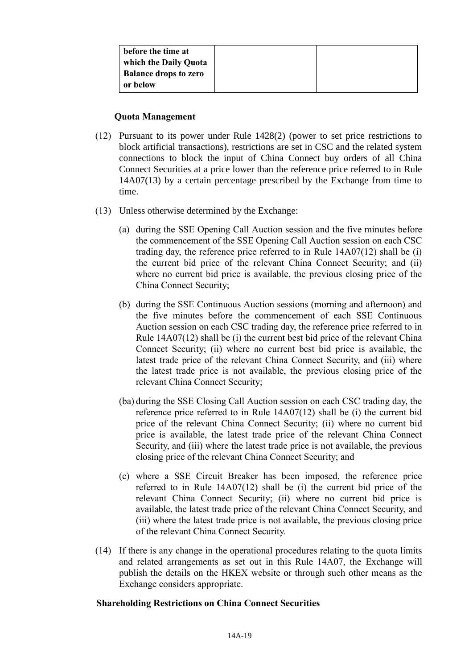| before the time at           |  |
|------------------------------|--|
| which the Daily Quota        |  |
| <b>Balance drops to zero</b> |  |
| or below                     |  |

#### **Quota Management**

- (12) Pursuant to its power under Rule 1428(2) (power to set price restrictions to block artificial transactions), restrictions are set in CSC and the related system connections to block the input of China Connect buy orders of all China Connect Securities at a price lower than the reference price referred to in Rule 14A07(13) by a certain percentage prescribed by the Exchange from time to time.
- (13) Unless otherwise determined by the Exchange:
	- (a) during the SSE Opening Call Auction session and the five minutes before the commencement of the SSE Opening Call Auction session on each CSC trading day, the reference price referred to in Rule 14A07(12) shall be (i) the current bid price of the relevant China Connect Security; and (ii) where no current bid price is available, the previous closing price of the China Connect Security;
	- (b) during the SSE Continuous Auction sessions (morning and afternoon) and the five minutes before the commencement of each SSE Continuous Auction session on each CSC trading day, the reference price referred to in Rule 14A07(12) shall be (i) the current best bid price of the relevant China Connect Security; (ii) where no current best bid price is available, the latest trade price of the relevant China Connect Security, and (iii) where the latest trade price is not available, the previous closing price of the relevant China Connect Security;
	- (ba) during the SSE Closing Call Auction session on each CSC trading day, the reference price referred to in Rule 14A07(12) shall be (i) the current bid price of the relevant China Connect Security; (ii) where no current bid price is available, the latest trade price of the relevant China Connect Security, and (iii) where the latest trade price is not available, the previous closing price of the relevant China Connect Security; and
	- (c) where a SSE Circuit Breaker has been imposed, the reference price referred to in Rule 14A07(12) shall be (i) the current bid price of the relevant China Connect Security; (ii) where no current bid price is available, the latest trade price of the relevant China Connect Security, and (iii) where the latest trade price is not available, the previous closing price of the relevant China Connect Security.
- (14) If there is any change in the operational procedures relating to the quota limits and related arrangements as set out in this Rule 14A07, the Exchange will publish the details on the HKEX website or through such other means as the Exchange considers appropriate.

#### **Shareholding Restrictions on China Connect Securities**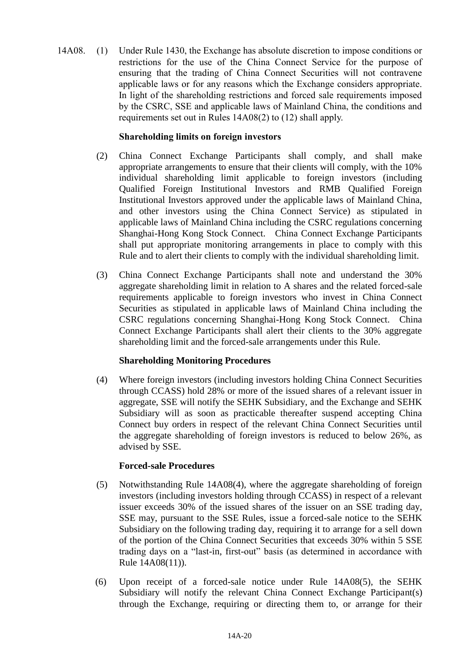14A08. (1) Under Rule 1430, the Exchange has absolute discretion to impose conditions or restrictions for the use of the China Connect Service for the purpose of ensuring that the trading of China Connect Securities will not contravene applicable laws or for any reasons which the Exchange considers appropriate. In light of the shareholding restrictions and forced sale requirements imposed by the CSRC, SSE and applicable laws of Mainland China, the conditions and requirements set out in Rules 14A08(2) to (12) shall apply.

# **Shareholding limits on foreign investors**

- (2) China Connect Exchange Participants shall comply, and shall make appropriate arrangements to ensure that their clients will comply, with the 10% individual shareholding limit applicable to foreign investors (including Qualified Foreign Institutional Investors and RMB Qualified Foreign Institutional Investors approved under the applicable laws of Mainland China, and other investors using the China Connect Service) as stipulated in applicable laws of Mainland China including the CSRC regulations concerning Shanghai-Hong Kong Stock Connect. China Connect Exchange Participants shall put appropriate monitoring arrangements in place to comply with this Rule and to alert their clients to comply with the individual shareholding limit.
- (3) China Connect Exchange Participants shall note and understand the 30% aggregate shareholding limit in relation to A shares and the related forced-sale requirements applicable to foreign investors who invest in China Connect Securities as stipulated in applicable laws of Mainland China including the CSRC regulations concerning Shanghai-Hong Kong Stock Connect. China Connect Exchange Participants shall alert their clients to the 30% aggregate shareholding limit and the forced-sale arrangements under this Rule.

# **Shareholding Monitoring Procedures**

(4) Where foreign investors (including investors holding China Connect Securities through CCASS) hold 28% or more of the issued shares of a relevant issuer in aggregate, SSE will notify the SEHK Subsidiary, and the Exchange and SEHK Subsidiary will as soon as practicable thereafter suspend accepting China Connect buy orders in respect of the relevant China Connect Securities until the aggregate shareholding of foreign investors is reduced to below 26%, as advised by SSE.

#### **Forced-sale Procedures**

- (5) Notwithstanding Rule 14A08(4), where the aggregate shareholding of foreign investors (including investors holding through CCASS) in respect of a relevant issuer exceeds 30% of the issued shares of the issuer on an SSE trading day, SSE may, pursuant to the SSE Rules, issue a forced-sale notice to the SEHK Subsidiary on the following trading day, requiring it to arrange for a sell down of the portion of the China Connect Securities that exceeds 30% within 5 SSE trading days on a "last-in, first-out" basis (as determined in accordance with Rule 14A08(11)).
- (6) Upon receipt of a forced-sale notice under Rule 14A08(5), the SEHK Subsidiary will notify the relevant China Connect Exchange Participant(s) through the Exchange, requiring or directing them to, or arrange for their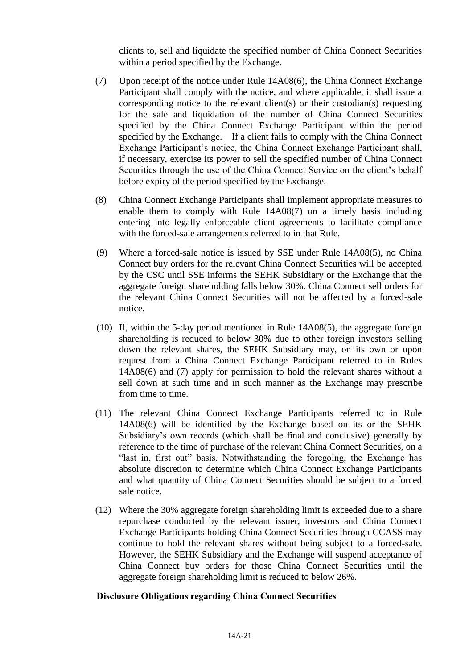clients to, sell and liquidate the specified number of China Connect Securities within a period specified by the Exchange.

- (7) Upon receipt of the notice under Rule 14A08(6), the China Connect Exchange Participant shall comply with the notice, and where applicable, it shall issue a corresponding notice to the relevant client(s) or their custodian(s) requesting for the sale and liquidation of the number of China Connect Securities specified by the China Connect Exchange Participant within the period specified by the Exchange. If a client fails to comply with the China Connect Exchange Participant's notice, the China Connect Exchange Participant shall, if necessary, exercise its power to sell the specified number of China Connect Securities through the use of the China Connect Service on the client's behalf before expiry of the period specified by the Exchange.
- (8) China Connect Exchange Participants shall implement appropriate measures to enable them to comply with Rule 14A08(7) on a timely basis including entering into legally enforceable client agreements to facilitate compliance with the forced-sale arrangements referred to in that Rule.
- (9) Where a forced-sale notice is issued by SSE under Rule 14A08(5), no China Connect buy orders for the relevant China Connect Securities will be accepted by the CSC until SSE informs the SEHK Subsidiary or the Exchange that the aggregate foreign shareholding falls below 30%. China Connect sell orders for the relevant China Connect Securities will not be affected by a forced-sale notice.
- (10) If, within the 5-day period mentioned in Rule 14A08(5), the aggregate foreign shareholding is reduced to below 30% due to other foreign investors selling down the relevant shares, the SEHK Subsidiary may, on its own or upon request from a China Connect Exchange Participant referred to in Rules 14A08(6) and (7) apply for permission to hold the relevant shares without a sell down at such time and in such manner as the Exchange may prescribe from time to time.
- (11) The relevant China Connect Exchange Participants referred to in Rule 14A08(6) will be identified by the Exchange based on its or the SEHK Subsidiary's own records (which shall be final and conclusive) generally by reference to the time of purchase of the relevant China Connect Securities, on a "last in, first out" basis. Notwithstanding the foregoing, the Exchange has absolute discretion to determine which China Connect Exchange Participants and what quantity of China Connect Securities should be subject to a forced sale notice.
- (12) Where the 30% aggregate foreign shareholding limit is exceeded due to a share repurchase conducted by the relevant issuer, investors and China Connect Exchange Participants holding China Connect Securities through CCASS may continue to hold the relevant shares without being subject to a forced-sale. However, the SEHK Subsidiary and the Exchange will suspend acceptance of China Connect buy orders for those China Connect Securities until the aggregate foreign shareholding limit is reduced to below 26%.

# **Disclosure Obligations regarding China Connect Securities**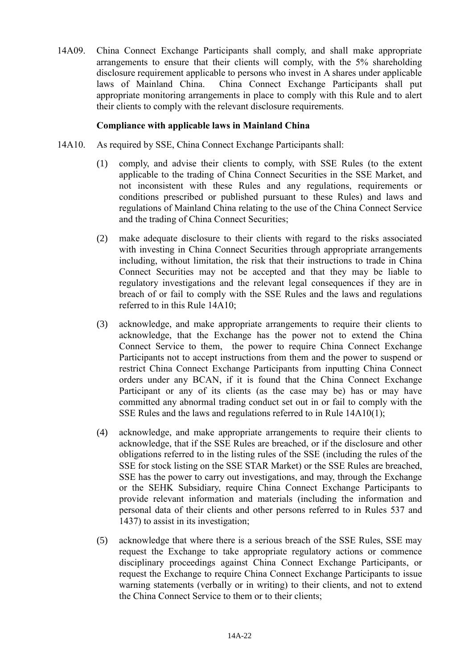14A09. China Connect Exchange Participants shall comply, and shall make appropriate arrangements to ensure that their clients will comply, with the 5% shareholding disclosure requirement applicable to persons who invest in A shares under applicable laws of Mainland China. China Connect Exchange Participants shall put appropriate monitoring arrangements in place to comply with this Rule and to alert their clients to comply with the relevant disclosure requirements.

### **Compliance with applicable laws in Mainland China**

- 14A10. As required by SSE, China Connect Exchange Participants shall:
	- (1) comply, and advise their clients to comply, with SSE Rules (to the extent applicable to the trading of China Connect Securities in the SSE Market, and not inconsistent with these Rules and any regulations, requirements or conditions prescribed or published pursuant to these Rules) and laws and regulations of Mainland China relating to the use of the China Connect Service and the trading of China Connect Securities;
	- (2) make adequate disclosure to their clients with regard to the risks associated with investing in China Connect Securities through appropriate arrangements including, without limitation, the risk that their instructions to trade in China Connect Securities may not be accepted and that they may be liable to regulatory investigations and the relevant legal consequences if they are in breach of or fail to comply with the SSE Rules and the laws and regulations referred to in this Rule 14A10;
	- (3) acknowledge, and make appropriate arrangements to require their clients to acknowledge, that the Exchange has the power not to extend the China Connect Service to them, the power to require China Connect Exchange Participants not to accept instructions from them and the power to suspend or restrict China Connect Exchange Participants from inputting China Connect orders under any BCAN, if it is found that the China Connect Exchange Participant or any of its clients (as the case may be) has or may have committed any abnormal trading conduct set out in or fail to comply with the SSE Rules and the laws and regulations referred to in Rule 14A10(1);
	- (4) acknowledge, and make appropriate arrangements to require their clients to acknowledge, that if the SSE Rules are breached, or if the disclosure and other obligations referred to in the listing rules of the SSE (including the rules of the SSE for stock listing on the SSE STAR Market) or the SSE Rules are breached, SSE has the power to carry out investigations, and may, through the Exchange or the SEHK Subsidiary, require China Connect Exchange Participants to provide relevant information and materials (including the information and personal data of their clients and other persons referred to in Rules 537 and 1437) to assist in its investigation;
	- (5) acknowledge that where there is a serious breach of the SSE Rules, SSE may request the Exchange to take appropriate regulatory actions or commence disciplinary proceedings against China Connect Exchange Participants, or request the Exchange to require China Connect Exchange Participants to issue warning statements (verbally or in writing) to their clients, and not to extend the China Connect Service to them or to their clients;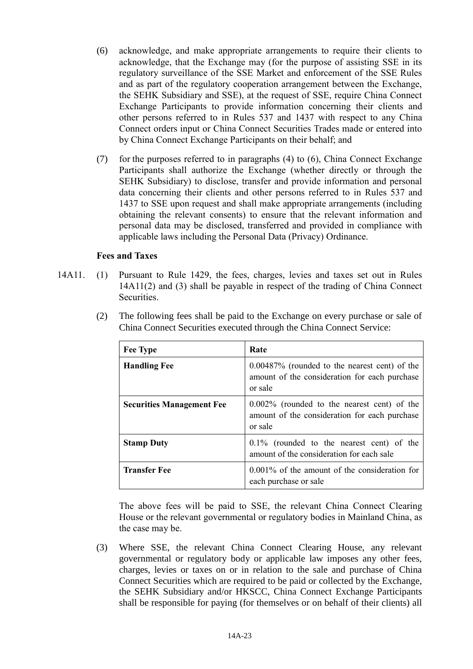- (6) acknowledge, and make appropriate arrangements to require their clients to acknowledge, that the Exchange may (for the purpose of assisting SSE in its regulatory surveillance of the SSE Market and enforcement of the SSE Rules and as part of the regulatory cooperation arrangement between the Exchange, the SEHK Subsidiary and SSE), at the request of SSE, require China Connect Exchange Participants to provide information concerning their clients and other persons referred to in Rules 537 and 1437 with respect to any China Connect orders input or China Connect Securities Trades made or entered into by China Connect Exchange Participants on their behalf; and
- (7) for the purposes referred to in paragraphs (4) to (6), China Connect Exchange Participants shall authorize the Exchange (whether directly or through the SEHK Subsidiary) to disclose, transfer and provide information and personal data concerning their clients and other persons referred to in Rules 537 and 1437 to SSE upon request and shall make appropriate arrangements (including obtaining the relevant consents) to ensure that the relevant information and personal data may be disclosed, transferred and provided in compliance with applicable laws including the Personal Data (Privacy) Ordinance.

### **Fees and Taxes**

14A11. (1) Pursuant to Rule 1429, the fees, charges, levies and taxes set out in Rules 14A11(2) and (3) shall be payable in respect of the trading of China Connect Securities.

| <b>Fee Type</b>                  | Rate                                                                                                         |
|----------------------------------|--------------------------------------------------------------------------------------------------------------|
| <b>Handling Fee</b>              | $0.00487\%$ (rounded to the nearest cent) of the<br>amount of the consideration for each purchase<br>or sale |
| <b>Securities Management Fee</b> | $0.002\%$ (rounded to the nearest cent) of the<br>amount of the consideration for each purchase<br>or sale   |
| <b>Stamp Duty</b>                | 0.1% (rounded to the nearest cent) of the<br>amount of the consideration for each sale                       |
| <b>Transfer Fee</b>              | $0.001\%$ of the amount of the consideration for<br>each purchase or sale                                    |

(2) The following fees shall be paid to the Exchange on every purchase or sale of China Connect Securities executed through the China Connect Service:

The above fees will be paid to SSE, the relevant China Connect Clearing House or the relevant governmental or regulatory bodies in Mainland China, as the case may be.

(3) Where SSE, the relevant China Connect Clearing House, any relevant governmental or regulatory body or applicable law imposes any other fees, charges, levies or taxes on or in relation to the sale and purchase of China Connect Securities which are required to be paid or collected by the Exchange, the SEHK Subsidiary and/or HKSCC, China Connect Exchange Participants shall be responsible for paying (for themselves or on behalf of their clients) all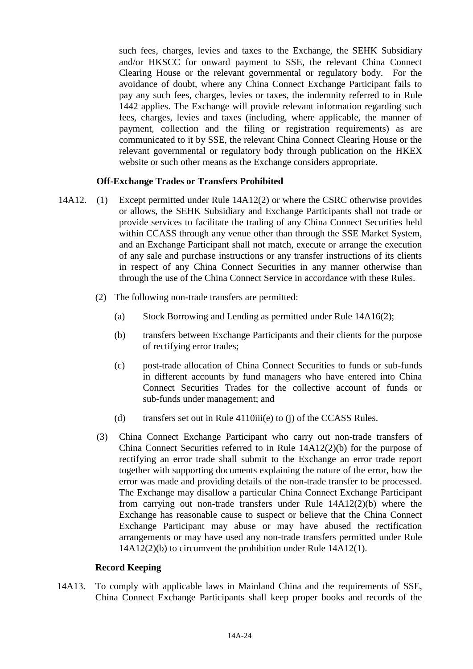such fees, charges, levies and taxes to the Exchange, the SEHK Subsidiary and/or HKSCC for onward payment to SSE, the relevant China Connect Clearing House or the relevant governmental or regulatory body. For the avoidance of doubt, where any China Connect Exchange Participant fails to pay any such fees, charges, levies or taxes, the indemnity referred to in Rule 1442 applies. The Exchange will provide relevant information regarding such fees, charges, levies and taxes (including, where applicable, the manner of payment, collection and the filing or registration requirements) as are communicated to it by SSE, the relevant China Connect Clearing House or the relevant governmental or regulatory body through publication on the HKEX website or such other means as the Exchange considers appropriate.

### **Off-Exchange Trades or Transfers Prohibited**

- 14A12. (1) Except permitted under Rule 14A12(2) or where the CSRC otherwise provides or allows, the SEHK Subsidiary and Exchange Participants shall not trade or provide services to facilitate the trading of any China Connect Securities held within CCASS through any venue other than through the SSE Market System, and an Exchange Participant shall not match, execute or arrange the execution of any sale and purchase instructions or any transfer instructions of its clients in respect of any China Connect Securities in any manner otherwise than through the use of the China Connect Service in accordance with these Rules.
	- (2) The following non-trade transfers are permitted:
		- (a) Stock Borrowing and Lending as permitted under Rule 14A16(2);
		- (b) transfers between Exchange Participants and their clients for the purpose of rectifying error trades;
		- (c) post-trade allocation of China Connect Securities to funds or sub-funds in different accounts by fund managers who have entered into China Connect Securities Trades for the collective account of funds or sub-funds under management; and
		- (d) transfers set out in Rule 4110iii(e) to (j) of the CCASS Rules.
	- (3) China Connect Exchange Participant who carry out non-trade transfers of China Connect Securities referred to in Rule  $14A12(2)(b)$  for the purpose of rectifying an error trade shall submit to the Exchange an error trade report together with supporting documents explaining the nature of the error, how the error was made and providing details of the non-trade transfer to be processed. The Exchange may disallow a particular China Connect Exchange Participant from carrying out non-trade transfers under Rule  $14A12(2)(b)$  where the Exchange has reasonable cause to suspect or believe that the China Connect Exchange Participant may abuse or may have abused the rectification arrangements or may have used any non-trade transfers permitted under Rule 14A12(2)(b) to circumvent the prohibition under Rule 14A12(1).

#### **Record Keeping**

14A13. To comply with applicable laws in Mainland China and the requirements of SSE, China Connect Exchange Participants shall keep proper books and records of the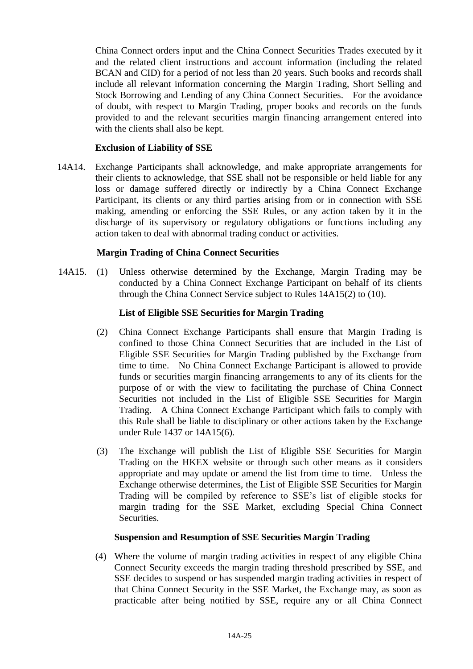China Connect orders input and the China Connect Securities Trades executed by it and the related client instructions and account information (including the related BCAN and CID) for a period of not less than 20 years. Such books and records shall include all relevant information concerning the Margin Trading, Short Selling and Stock Borrowing and Lending of any China Connect Securities. For the avoidance of doubt, with respect to Margin Trading, proper books and records on the funds provided to and the relevant securities margin financing arrangement entered into with the clients shall also be kept.

#### **Exclusion of Liability of SSE**

14A14. Exchange Participants shall acknowledge, and make appropriate arrangements for their clients to acknowledge, that SSE shall not be responsible or held liable for any loss or damage suffered directly or indirectly by a China Connect Exchange Participant, its clients or any third parties arising from or in connection with SSE making, amending or enforcing the SSE Rules, or any action taken by it in the discharge of its supervisory or regulatory obligations or functions including any action taken to deal with abnormal trading conduct or activities.

#### **Margin Trading of China Connect Securities**

14A15. (1) Unless otherwise determined by the Exchange, Margin Trading may be conducted by a China Connect Exchange Participant on behalf of its clients through the China Connect Service subject to Rules 14A15(2) to (10).

#### **List of Eligible SSE Securities for Margin Trading**

- (2) China Connect Exchange Participants shall ensure that Margin Trading is confined to those China Connect Securities that are included in the List of Eligible SSE Securities for Margin Trading published by the Exchange from time to time. No China Connect Exchange Participant is allowed to provide funds or securities margin financing arrangements to any of its clients for the purpose of or with the view to facilitating the purchase of China Connect Securities not included in the List of Eligible SSE Securities for Margin Trading. A China Connect Exchange Participant which fails to comply with this Rule shall be liable to disciplinary or other actions taken by the Exchange under Rule 1437 or 14A15(6).
- (3) The Exchange will publish the List of Eligible SSE Securities for Margin Trading on the HKEX website or through such other means as it considers appropriate and may update or amend the list from time to time. Unless the Exchange otherwise determines, the List of Eligible SSE Securities for Margin Trading will be compiled by reference to SSE's list of eligible stocks for margin trading for the SSE Market, excluding Special China Connect Securities.

#### **Suspension and Resumption of SSE Securities Margin Trading**

(4) Where the volume of margin trading activities in respect of any eligible China Connect Security exceeds the margin trading threshold prescribed by SSE, and SSE decides to suspend or has suspended margin trading activities in respect of that China Connect Security in the SSE Market, the Exchange may, as soon as practicable after being notified by SSE, require any or all China Connect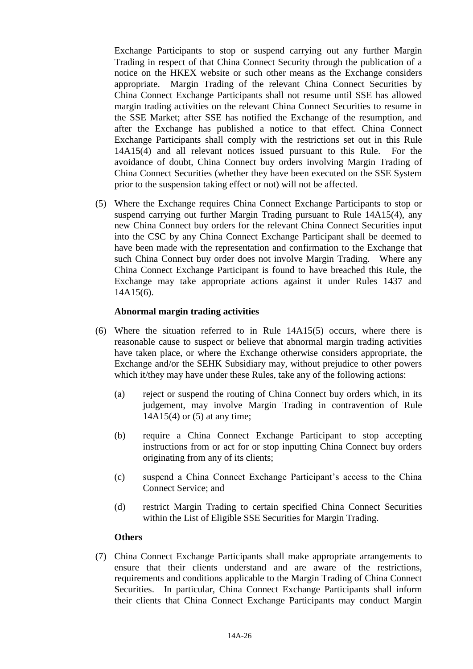Exchange Participants to stop or suspend carrying out any further Margin Trading in respect of that China Connect Security through the publication of a notice on the HKEX website or such other means as the Exchange considers appropriate. Margin Trading of the relevant China Connect Securities by China Connect Exchange Participants shall not resume until SSE has allowed margin trading activities on the relevant China Connect Securities to resume in the SSE Market; after SSE has notified the Exchange of the resumption, and after the Exchange has published a notice to that effect. China Connect Exchange Participants shall comply with the restrictions set out in this Rule 14A15(4) and all relevant notices issued pursuant to this Rule. For the avoidance of doubt, China Connect buy orders involving Margin Trading of China Connect Securities (whether they have been executed on the SSE System prior to the suspension taking effect or not) will not be affected.

(5) Where the Exchange requires China Connect Exchange Participants to stop or suspend carrying out further Margin Trading pursuant to Rule 14A15(4), any new China Connect buy orders for the relevant China Connect Securities input into the CSC by any China Connect Exchange Participant shall be deemed to have been made with the representation and confirmation to the Exchange that such China Connect buy order does not involve Margin Trading. Where any China Connect Exchange Participant is found to have breached this Rule, the Exchange may take appropriate actions against it under Rules 1437 and 14A15(6).

#### **Abnormal margin trading activities**

- (6) Where the situation referred to in Rule 14A15(5) occurs, where there is reasonable cause to suspect or believe that abnormal margin trading activities have taken place, or where the Exchange otherwise considers appropriate, the Exchange and/or the SEHK Subsidiary may, without prejudice to other powers which it/they may have under these Rules, take any of the following actions:
	- (a) reject or suspend the routing of China Connect buy orders which, in its judgement, may involve Margin Trading in contravention of Rule 14A15(4) or (5) at any time;
	- (b) require a China Connect Exchange Participant to stop accepting instructions from or act for or stop inputting China Connect buy orders originating from any of its clients;
	- (c) suspend a China Connect Exchange Participant's access to the China Connect Service; and
	- (d) restrict Margin Trading to certain specified China Connect Securities within the List of Eligible SSE Securities for Margin Trading.

#### **Others**

(7) China Connect Exchange Participants shall make appropriate arrangements to ensure that their clients understand and are aware of the restrictions, requirements and conditions applicable to the Margin Trading of China Connect Securities. In particular, China Connect Exchange Participants shall inform their clients that China Connect Exchange Participants may conduct Margin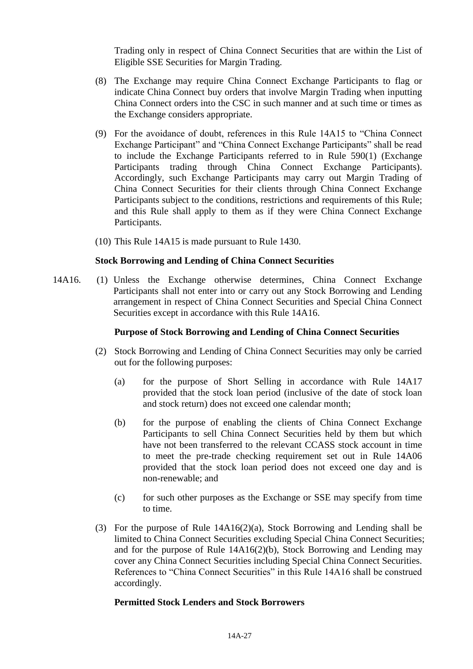Trading only in respect of China Connect Securities that are within the List of Eligible SSE Securities for Margin Trading.

- (8) The Exchange may require China Connect Exchange Participants to flag or indicate China Connect buy orders that involve Margin Trading when inputting China Connect orders into the CSC in such manner and at such time or times as the Exchange considers appropriate.
- (9) For the avoidance of doubt, references in this Rule 14A15 to "China Connect Exchange Participant" and "China Connect Exchange Participants" shall be read to include the Exchange Participants referred to in Rule 590(1) (Exchange Participants trading through China Connect Exchange Participants). Accordingly, such Exchange Participants may carry out Margin Trading of China Connect Securities for their clients through China Connect Exchange Participants subject to the conditions, restrictions and requirements of this Rule; and this Rule shall apply to them as if they were China Connect Exchange Participants.
- (10) This Rule 14A15 is made pursuant to Rule 1430.

#### **Stock Borrowing and Lending of China Connect Securities**

14A16. (1) Unless the Exchange otherwise determines, China Connect Exchange Participants shall not enter into or carry out any Stock Borrowing and Lending arrangement in respect of China Connect Securities and Special China Connect Securities except in accordance with this Rule 14A16.

#### **Purpose of Stock Borrowing and Lending of China Connect Securities**

- (2) Stock Borrowing and Lending of China Connect Securities may only be carried out for the following purposes:
	- (a) for the purpose of Short Selling in accordance with Rule 14A17 provided that the stock loan period (inclusive of the date of stock loan and stock return) does not exceed one calendar month;
	- (b) for the purpose of enabling the clients of China Connect Exchange Participants to sell China Connect Securities held by them but which have not been transferred to the relevant CCASS stock account in time to meet the pre-trade checking requirement set out in Rule 14A06 provided that the stock loan period does not exceed one day and is non-renewable; and
	- (c) for such other purposes as the Exchange or SSE may specify from time to time.
- (3) For the purpose of Rule 14A16(2)(a), Stock Borrowing and Lending shall be limited to China Connect Securities excluding Special China Connect Securities; and for the purpose of Rule 14A16(2)(b), Stock Borrowing and Lending may cover any China Connect Securities including Special China Connect Securities. References to "China Connect Securities" in this Rule 14A16 shall be construed accordingly.

#### **Permitted Stock Lenders and Stock Borrowers**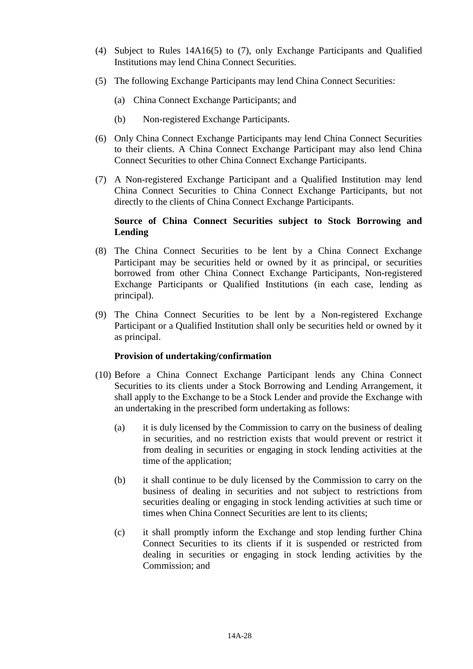- (4) Subject to Rules 14A16(5) to (7), only Exchange Participants and Qualified Institutions may lend China Connect Securities.
- (5) The following Exchange Participants may lend China Connect Securities:
	- (a) China Connect Exchange Participants; and
	- (b) Non-registered Exchange Participants.
- (6) Only China Connect Exchange Participants may lend China Connect Securities to their clients. A China Connect Exchange Participant may also lend China Connect Securities to other China Connect Exchange Participants.
- (7) A Non-registered Exchange Participant and a Qualified Institution may lend China Connect Securities to China Connect Exchange Participants, but not directly to the clients of China Connect Exchange Participants.

### **Source of China Connect Securities subject to Stock Borrowing and Lending**

- (8) The China Connect Securities to be lent by a China Connect Exchange Participant may be securities held or owned by it as principal, or securities borrowed from other China Connect Exchange Participants, Non-registered Exchange Participants or Qualified Institutions (in each case, lending as principal).
- (9) The China Connect Securities to be lent by a Non-registered Exchange Participant or a Qualified Institution shall only be securities held or owned by it as principal.

#### **Provision of undertaking/confirmation**

- (10) Before a China Connect Exchange Participant lends any China Connect Securities to its clients under a Stock Borrowing and Lending Arrangement, it shall apply to the Exchange to be a Stock Lender and provide the Exchange with an undertaking in the prescribed form undertaking as follows:
	- (a) it is duly licensed by the Commission to carry on the business of dealing in securities, and no restriction exists that would prevent or restrict it from dealing in securities or engaging in stock lending activities at the time of the application;
	- (b) it shall continue to be duly licensed by the Commission to carry on the business of dealing in securities and not subject to restrictions from securities dealing or engaging in stock lending activities at such time or times when China Connect Securities are lent to its clients;
	- (c) it shall promptly inform the Exchange and stop lending further China Connect Securities to its clients if it is suspended or restricted from dealing in securities or engaging in stock lending activities by the Commission; and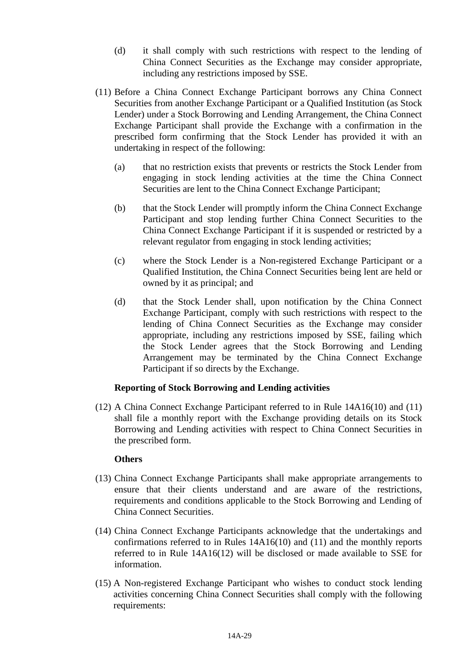- (d) it shall comply with such restrictions with respect to the lending of China Connect Securities as the Exchange may consider appropriate, including any restrictions imposed by SSE.
- (11) Before a China Connect Exchange Participant borrows any China Connect Securities from another Exchange Participant or a Qualified Institution (as Stock Lender) under a Stock Borrowing and Lending Arrangement, the China Connect Exchange Participant shall provide the Exchange with a confirmation in the prescribed form confirming that the Stock Lender has provided it with an undertaking in respect of the following:
	- (a) that no restriction exists that prevents or restricts the Stock Lender from engaging in stock lending activities at the time the China Connect Securities are lent to the China Connect Exchange Participant;
	- (b) that the Stock Lender will promptly inform the China Connect Exchange Participant and stop lending further China Connect Securities to the China Connect Exchange Participant if it is suspended or restricted by a relevant regulator from engaging in stock lending activities;
	- (c) where the Stock Lender is a Non-registered Exchange Participant or a Qualified Institution, the China Connect Securities being lent are held or owned by it as principal; and
	- (d) that the Stock Lender shall, upon notification by the China Connect Exchange Participant, comply with such restrictions with respect to the lending of China Connect Securities as the Exchange may consider appropriate, including any restrictions imposed by SSE, failing which the Stock Lender agrees that the Stock Borrowing and Lending Arrangement may be terminated by the China Connect Exchange Participant if so directs by the Exchange.

# **Reporting of Stock Borrowing and Lending activities**

(12) A China Connect Exchange Participant referred to in Rule 14A16(10) and (11) shall file a monthly report with the Exchange providing details on its Stock Borrowing and Lending activities with respect to China Connect Securities in the prescribed form.

#### **Others**

- (13) China Connect Exchange Participants shall make appropriate arrangements to ensure that their clients understand and are aware of the restrictions, requirements and conditions applicable to the Stock Borrowing and Lending of China Connect Securities.
- (14) China Connect Exchange Participants acknowledge that the undertakings and confirmations referred to in Rules 14A16(10) and (11) and the monthly reports referred to in Rule 14A16(12) will be disclosed or made available to SSE for information.
- (15) A Non-registered Exchange Participant who wishes to conduct stock lending activities concerning China Connect Securities shall comply with the following requirements: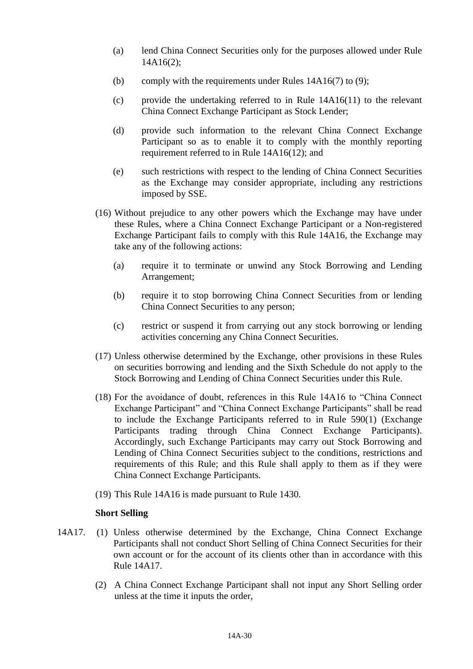- (a) lend China Connect Securities only for the purposes allowed under Rule 14A16(2);
- (b) comply with the requirements under Rules  $14A16(7)$  to (9);
- (c) provide the undertaking referred to in Rule 14A16(11) to the relevant China Connect Exchange Participant as Stock Lender;
- (d) provide such information to the relevant China Connect Exchange Participant so as to enable it to comply with the monthly reporting requirement referred to in Rule 14A16(12); and
- (e) such restrictions with respect to the lending of China Connect Securities as the Exchange may consider appropriate, including any restrictions imposed by SSE.
- (16) Without prejudice to any other powers which the Exchange may have under these Rules, where a China Connect Exchange Participant or a Non-registered Exchange Participant fails to comply with this Rule 14A16, the Exchange may take any of the following actions:
	- (a) require it to terminate or unwind any Stock Borrowing and Lending Arrangement;
	- (b) require it to stop borrowing China Connect Securities from or lending China Connect Securities to any person;
	- (c) restrict or suspend it from carrying out any stock borrowing or lending activities concerning any China Connect Securities.
- (17) Unless otherwise determined by the Exchange, other provisions in these Rules on securities borrowing and lending and the Sixth Schedule do not apply to the Stock Borrowing and Lending of China Connect Securities under this Rule.
- (18) For the avoidance of doubt, references in this Rule 14A16 to "China Connect Exchange Participant" and "China Connect Exchange Participants" shall be read to include the Exchange Participants referred to in Rule 590(1) (Exchange Participants trading through China Connect Exchange Participants). Accordingly, such Exchange Participants may carry out Stock Borrowing and Lending of China Connect Securities subject to the conditions, restrictions and requirements of this Rule; and this Rule shall apply to them as if they were China Connect Exchange Participants.
- (19) This Rule 14A16 is made pursuant to Rule 1430.

#### **Short Selling**

- 14A17. (1) Unless otherwise determined by the Exchange, China Connect Exchange Participants shall not conduct Short Selling of China Connect Securities for their own account or for the account of its clients other than in accordance with this Rule 14A17.
	- (2) A China Connect Exchange Participant shall not input any Short Selling order unless at the time it inputs the order,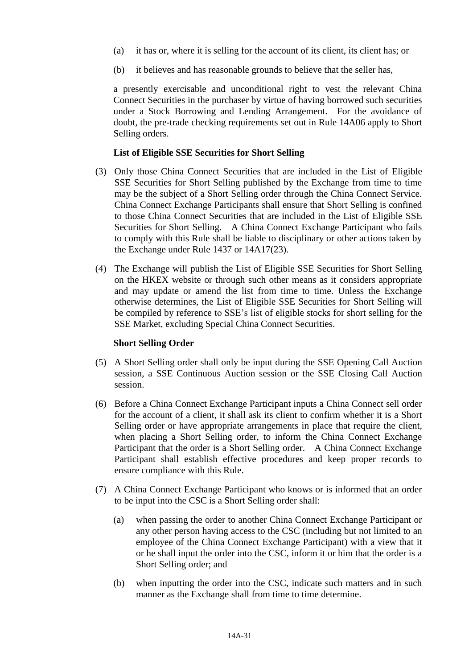- (a) it has or, where it is selling for the account of its client, its client has; or
- (b) it believes and has reasonable grounds to believe that the seller has,

a presently exercisable and unconditional right to vest the relevant China Connect Securities in the purchaser by virtue of having borrowed such securities under a Stock Borrowing and Lending Arrangement. For the avoidance of doubt, the pre-trade checking requirements set out in Rule 14A06 apply to Short Selling orders.

#### **List of Eligible SSE Securities for Short Selling**

- (3) Only those China Connect Securities that are included in the List of Eligible SSE Securities for Short Selling published by the Exchange from time to time may be the subject of a Short Selling order through the China Connect Service. China Connect Exchange Participants shall ensure that Short Selling is confined to those China Connect Securities that are included in the List of Eligible SSE Securities for Short Selling. A China Connect Exchange Participant who fails to comply with this Rule shall be liable to disciplinary or other actions taken by the Exchange under Rule 1437 or 14A17(23).
- (4) The Exchange will publish the List of Eligible SSE Securities for Short Selling on the HKEX website or through such other means as it considers appropriate and may update or amend the list from time to time. Unless the Exchange otherwise determines, the List of Eligible SSE Securities for Short Selling will be compiled by reference to SSE's list of eligible stocks for short selling for the SSE Market, excluding Special China Connect Securities.

#### **Short Selling Order**

- (5) A Short Selling order shall only be input during the SSE Opening Call Auction session, a SSE Continuous Auction session or the SSE Closing Call Auction session.
- (6) Before a China Connect Exchange Participant inputs a China Connect sell order for the account of a client, it shall ask its client to confirm whether it is a Short Selling order or have appropriate arrangements in place that require the client, when placing a Short Selling order, to inform the China Connect Exchange Participant that the order is a Short Selling order. A China Connect Exchange Participant shall establish effective procedures and keep proper records to ensure compliance with this Rule.
- (7) A China Connect Exchange Participant who knows or is informed that an order to be input into the CSC is a Short Selling order shall:
	- (a) when passing the order to another China Connect Exchange Participant or any other person having access to the CSC (including but not limited to an employee of the China Connect Exchange Participant) with a view that it or he shall input the order into the CSC, inform it or him that the order is a Short Selling order; and
	- (b) when inputting the order into the CSC, indicate such matters and in such manner as the Exchange shall from time to time determine.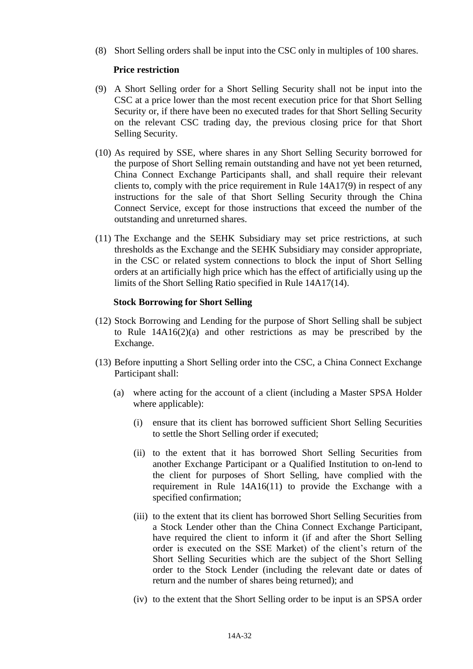(8) Short Selling orders shall be input into the CSC only in multiples of 100 shares.

### **Price restriction**

- (9) A Short Selling order for a Short Selling Security shall not be input into the CSC at a price lower than the most recent execution price for that Short Selling Security or, if there have been no executed trades for that Short Selling Security on the relevant CSC trading day, the previous closing price for that Short Selling Security.
- (10) As required by SSE, where shares in any Short Selling Security borrowed for the purpose of Short Selling remain outstanding and have not yet been returned, China Connect Exchange Participants shall, and shall require their relevant clients to, comply with the price requirement in Rule 14A17(9) in respect of any instructions for the sale of that Short Selling Security through the China Connect Service, except for those instructions that exceed the number of the outstanding and unreturned shares.
- (11) The Exchange and the SEHK Subsidiary may set price restrictions, at such thresholds as the Exchange and the SEHK Subsidiary may consider appropriate, in the CSC or related system connections to block the input of Short Selling orders at an artificially high price which has the effect of artificially using up the limits of the Short Selling Ratio specified in Rule 14A17(14).

### **Stock Borrowing for Short Selling**

- (12) Stock Borrowing and Lending for the purpose of Short Selling shall be subject to Rule 14A16(2)(a) and other restrictions as may be prescribed by the Exchange.
- (13) Before inputting a Short Selling order into the CSC, a China Connect Exchange Participant shall:
	- (a) where acting for the account of a client (including a Master SPSA Holder where applicable):
		- (i) ensure that its client has borrowed sufficient Short Selling Securities to settle the Short Selling order if executed;
		- (ii) to the extent that it has borrowed Short Selling Securities from another Exchange Participant or a Qualified Institution to on-lend to the client for purposes of Short Selling, have complied with the requirement in Rule 14A16(11) to provide the Exchange with a specified confirmation;
		- (iii) to the extent that its client has borrowed Short Selling Securities from a Stock Lender other than the China Connect Exchange Participant, have required the client to inform it (if and after the Short Selling order is executed on the SSE Market) of the client's return of the Short Selling Securities which are the subject of the Short Selling order to the Stock Lender (including the relevant date or dates of return and the number of shares being returned); and
		- (iv) to the extent that the Short Selling order to be input is an SPSA order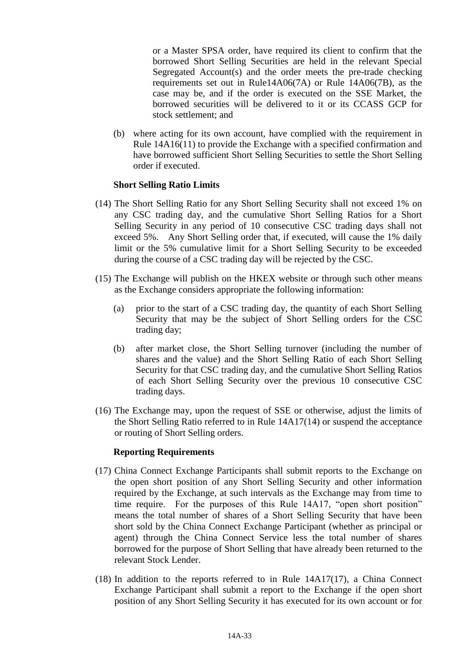or a Master SPSA order, have required its client to confirm that the borrowed Short Selling Securities are held in the relevant Special Segregated Account(s) and the order meets the pre-trade checking requirements set out in Rule14A06(7A) or Rule 14A06(7B), as the case may be, and if the order is executed on the SSE Market, the borrowed securities will be delivered to it or its CCASS GCP for stock settlement; and

(b) where acting for its own account, have complied with the requirement in Rule 14A16(11) to provide the Exchange with a specified confirmation and have borrowed sufficient Short Selling Securities to settle the Short Selling order if executed.

#### **Short Selling Ratio Limits**

- (14) The Short Selling Ratio for any Short Selling Security shall not exceed 1% on any CSC trading day, and the cumulative Short Selling Ratios for a Short Selling Security in any period of 10 consecutive CSC trading days shall not exceed 5%. Any Short Selling order that, if executed, will cause the 1% daily limit or the 5% cumulative limit for a Short Selling Security to be exceeded during the course of a CSC trading day will be rejected by the CSC.
- (15) The Exchange will publish on the HKEX website or through such other means as the Exchange considers appropriate the following information:
	- (a) prior to the start of a CSC trading day, the quantity of each Short Selling Security that may be the subject of Short Selling orders for the CSC trading day;
	- (b) after market close, the Short Selling turnover (including the number of shares and the value) and the Short Selling Ratio of each Short Selling Security for that CSC trading day, and the cumulative Short Selling Ratios of each Short Selling Security over the previous 10 consecutive CSC trading days.
- (16) The Exchange may, upon the request of SSE or otherwise, adjust the limits of the Short Selling Ratio referred to in Rule 14A17(14) or suspend the acceptance or routing of Short Selling orders.

#### **Reporting Requirements**

- (17) China Connect Exchange Participants shall submit reports to the Exchange on the open short position of any Short Selling Security and other information required by the Exchange, at such intervals as the Exchange may from time to time require. For the purposes of this Rule 14A17, "open short position" means the total number of shares of a Short Selling Security that have been short sold by the China Connect Exchange Participant (whether as principal or agent) through the China Connect Service less the total number of shares borrowed for the purpose of Short Selling that have already been returned to the relevant Stock Lender.
- (18) In addition to the reports referred to in Rule 14A17(17), a China Connect Exchange Participant shall submit a report to the Exchange if the open short position of any Short Selling Security it has executed for its own account or for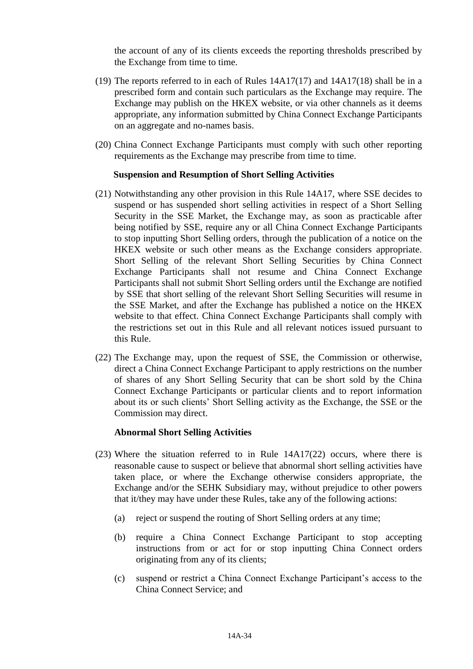the account of any of its clients exceeds the reporting thresholds prescribed by the Exchange from time to time.

- (19) The reports referred to in each of Rules 14A17(17) and 14A17(18) shall be in a prescribed form and contain such particulars as the Exchange may require. The Exchange may publish on the HKEX website, or via other channels as it deems appropriate, any information submitted by China Connect Exchange Participants on an aggregate and no-names basis.
- (20) China Connect Exchange Participants must comply with such other reporting requirements as the Exchange may prescribe from time to time.

#### **Suspension and Resumption of Short Selling Activities**

- (21) Notwithstanding any other provision in this Rule 14A17, where SSE decides to suspend or has suspended short selling activities in respect of a Short Selling Security in the SSE Market, the Exchange may, as soon as practicable after being notified by SSE, require any or all China Connect Exchange Participants to stop inputting Short Selling orders, through the publication of a notice on the HKEX website or such other means as the Exchange considers appropriate. Short Selling of the relevant Short Selling Securities by China Connect Exchange Participants shall not resume and China Connect Exchange Participants shall not submit Short Selling orders until the Exchange are notified by SSE that short selling of the relevant Short Selling Securities will resume in the SSE Market, and after the Exchange has published a notice on the HKEX website to that effect. China Connect Exchange Participants shall comply with the restrictions set out in this Rule and all relevant notices issued pursuant to this Rule.
- (22) The Exchange may, upon the request of SSE, the Commission or otherwise, direct a China Connect Exchange Participant to apply restrictions on the number of shares of any Short Selling Security that can be short sold by the China Connect Exchange Participants or particular clients and to report information about its or such clients' Short Selling activity as the Exchange, the SSE or the Commission may direct.

#### **Abnormal Short Selling Activities**

- (23) Where the situation referred to in Rule 14A17(22) occurs, where there is reasonable cause to suspect or believe that abnormal short selling activities have taken place, or where the Exchange otherwise considers appropriate, the Exchange and/or the SEHK Subsidiary may, without prejudice to other powers that it/they may have under these Rules, take any of the following actions:
	- (a) reject or suspend the routing of Short Selling orders at any time;
	- (b) require a China Connect Exchange Participant to stop accepting instructions from or act for or stop inputting China Connect orders originating from any of its clients;
	- (c) suspend or restrict a China Connect Exchange Participant's access to the China Connect Service; and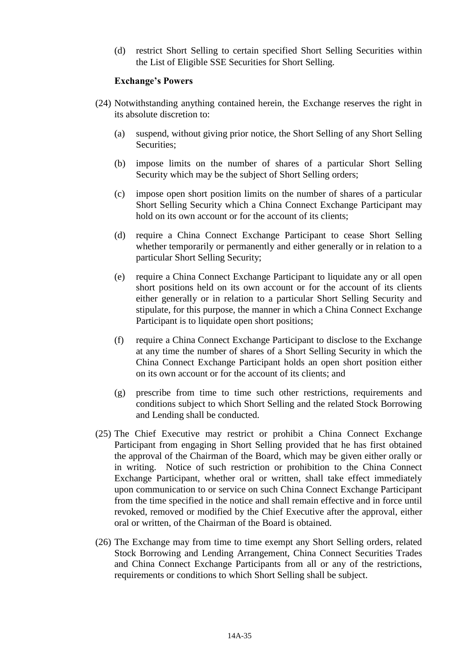(d) restrict Short Selling to certain specified Short Selling Securities within the List of Eligible SSE Securities for Short Selling.

#### **Exchange's Powers**

- (24) Notwithstanding anything contained herein, the Exchange reserves the right in its absolute discretion to:
	- (a) suspend, without giving prior notice, the Short Selling of any Short Selling Securities;
	- (b) impose limits on the number of shares of a particular Short Selling Security which may be the subject of Short Selling orders;
	- (c) impose open short position limits on the number of shares of a particular Short Selling Security which a China Connect Exchange Participant may hold on its own account or for the account of its clients;
	- (d) require a China Connect Exchange Participant to cease Short Selling whether temporarily or permanently and either generally or in relation to a particular Short Selling Security;
	- (e) require a China Connect Exchange Participant to liquidate any or all open short positions held on its own account or for the account of its clients either generally or in relation to a particular Short Selling Security and stipulate, for this purpose, the manner in which a China Connect Exchange Participant is to liquidate open short positions;
	- (f) require a China Connect Exchange Participant to disclose to the Exchange at any time the number of shares of a Short Selling Security in which the China Connect Exchange Participant holds an open short position either on its own account or for the account of its clients; and
	- (g) prescribe from time to time such other restrictions, requirements and conditions subject to which Short Selling and the related Stock Borrowing and Lending shall be conducted.
- (25) The Chief Executive may restrict or prohibit a China Connect Exchange Participant from engaging in Short Selling provided that he has first obtained the approval of the Chairman of the Board, which may be given either orally or in writing. Notice of such restriction or prohibition to the China Connect Exchange Participant, whether oral or written, shall take effect immediately upon communication to or service on such China Connect Exchange Participant from the time specified in the notice and shall remain effective and in force until revoked, removed or modified by the Chief Executive after the approval, either oral or written, of the Chairman of the Board is obtained.
- (26) The Exchange may from time to time exempt any Short Selling orders, related Stock Borrowing and Lending Arrangement, China Connect Securities Trades and China Connect Exchange Participants from all or any of the restrictions, requirements or conditions to which Short Selling shall be subject.